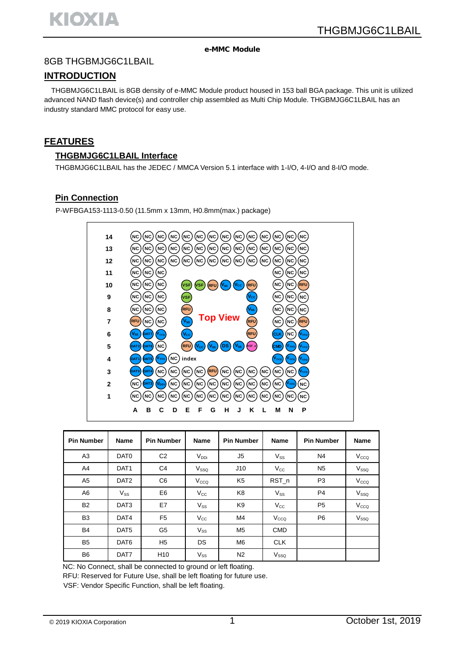#### e-MMC Module

# 8GB THGBMJG6C1LBAIL

# **INTRODUCTION**

THGBMJG6C1LBAIL is 8GB density of e-MMC Module product housed in 153 ball BGA package. This unit is utilized advanced NAND flash device(s) and controller chip assembled as Multi Chip Module. THGBMJG6C1LBAIL has an industry standard MMC protocol for easy use.

# **FEATURES**

#### **THGBMJG6C1LBAIL Interface**

THGBMJG6C1LBAIL has the JEDEC / MMCA Version 5.1 interface with 1-I/O, 4-I/O and 8-I/O mode.

### **Pin Connection**

P-WFBGA153-1113-0.50 (11.5mm x 13mm, H0.8mm(max.) package)



| <b>Pin Number</b> | <b>Name</b>      | <b>Pin Number</b> | <b>Name</b>      | <b>Pin Number</b> | <b>Name</b>      | <b>Pin Number</b> | Name             |
|-------------------|------------------|-------------------|------------------|-------------------|------------------|-------------------|------------------|
| A3                | DAT <sub>0</sub> | C <sub>2</sub>    | $V_{DDi}$        | J5                | $V_{SS}$         | N <sub>4</sub>    | V <sub>CCQ</sub> |
| A4                | DAT <sub>1</sub> | C <sub>4</sub>    | V <sub>SSO</sub> | J10               | $V_{\rm CC}$     | N <sub>5</sub>    | V <sub>sso</sub> |
| A <sub>5</sub>    | DAT <sub>2</sub> | C <sub>6</sub>    | V <sub>CCQ</sub> | K <sub>5</sub>    | RST_n            | P <sub>3</sub>    | V <sub>CCQ</sub> |
| A6                | $V_{SS}$         | E <sub>6</sub>    | $V_{\rm CC}$     | K8                | $V_{SS}$         | P <sub>4</sub>    | V <sub>SSO</sub> |
| <b>B2</b>         | DAT <sub>3</sub> | E7                | $V_{SS}$         | K <sub>9</sub>    | $V_{\rm CC}$     | P <sub>5</sub>    | V <sub>CCQ</sub> |
| B <sub>3</sub>    | DAT4             | F <sub>5</sub>    | $V_{\rm CC}$     | M4                | V <sub>CCQ</sub> | P <sub>6</sub>    | V <sub>sso</sub> |
| <b>B4</b>         | DAT <sub>5</sub> | G5                | $V_{SS}$         | M <sub>5</sub>    | <b>CMD</b>       |                   |                  |
| B <sub>5</sub>    | DAT <sub>6</sub> | H <sub>5</sub>    | <b>DS</b>        | M <sub>6</sub>    | <b>CLK</b>       |                   |                  |
| B <sub>6</sub>    | DAT7             | H <sub>10</sub>   | $V_{SS}$         | N <sub>2</sub>    | V <sub>SSO</sub> |                   |                  |

NC: No Connect, shall be connected to ground or left floating.

RFU: Reserved for Future Use, shall be left floating for future use.

VSF: Vendor Specific Function, shall be left floating.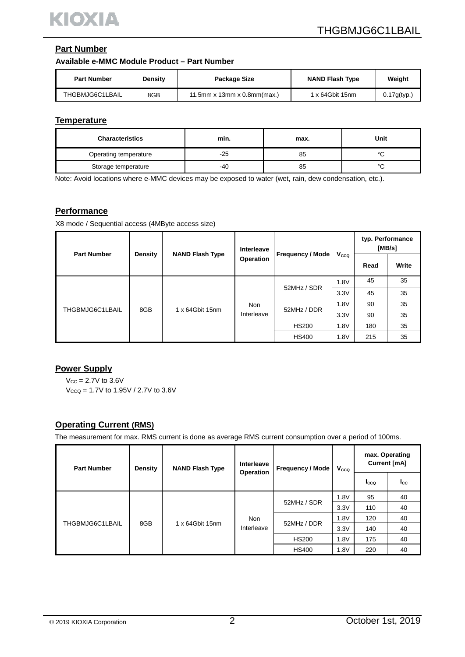# **Part Number**

#### **Available e-MMC Module Product – Part Number**

| <b>Part Number</b> | <b>Density</b> | Package Size                  | <b>NAND Flash Type</b> | Weight      |
|--------------------|----------------|-------------------------------|------------------------|-------------|
| THGBMJG6C1LBAIL    | 8GB            | 11.5mm x 13mm x 0.8mm $(max)$ | 1 x 64Gbit 15nm        | 0.17g(typ.) |

#### **Temperature**

| <b>Characteristics</b> | min.  | max. | Unit        |
|------------------------|-------|------|-------------|
| Operating temperature  | $-25$ | 85   | $\circ$     |
| Storage temperature    | -40   | 85   | $\sim$<br>∼ |

Note: Avoid locations where e-MMC devices may be exposed to water (wet, rain, dew condensation, etc.).

#### **Performance**

X8 mode / Sequential access (4MByte access size)

| <b>Part Number</b> | <b>Density</b> | <b>NAND Flash Type</b> | Interleave               |                         |      | typ. Performance<br>[MB/s] |       |
|--------------------|----------------|------------------------|--------------------------|-------------------------|------|----------------------------|-------|
|                    |                |                        | Operation                | <b>Frequency / Mode</b> | Vcco | Read                       | Write |
|                    | 8GB            | 1 x 64Gbit 15nm        | <b>Non</b><br>Interleave | 52MHz / SDR             | 1.8V | 45                         | 35    |
|                    |                |                        |                          |                         | 3.3V | 45                         | 35    |
| THGBMJG6C1LBAIL    |                |                        |                          | 52MHz / DDR             | 1.8V | 90                         | 35    |
|                    |                |                        |                          |                         | 3.3V | 90                         | 35    |
|                    |                |                        |                          | <b>HS200</b>            | 1.8V | 180                        | 35    |
|                    |                |                        |                          | <b>HS400</b>            | 1.8V | 215                        | 35    |

#### **Power Supply**

 $V_{CC} = 2.7V$  to 3.6V

 $V_{CCQ} = 1.7V$  to  $1.95V / 2.7V$  to  $3.6V$ 

#### **Operating Current (RMS)**

The measurement for max. RMS current is done as average RMS current consumption over a period of 100ms.

| <b>Part Number</b> | Density | <b>NAND Flash Type</b> | Interleave               | <b>Frequency / Mode</b> | V <sub>cco</sub> | <b>Current [mA]</b> | max. Operating |
|--------------------|---------|------------------------|--------------------------|-------------------------|------------------|---------------------|----------------|
|                    |         | Operation              |                          |                         |                  | <b>I</b> cco        | <b>I</b> cc    |
|                    |         | 1 x 64Gbit 15nm        | <b>Non</b><br>Interleave |                         | 1.8V             | 95                  | 40             |
|                    |         |                        |                          | 52MHz / SDR             | 3.3V             | 110                 | 40             |
| THGBMJG6C1LBAIL    |         |                        |                          | 52MHz / DDR             | 1.8V             | 120                 | 40             |
|                    | 8GB     |                        |                          |                         | 3.3V             | 140                 | 40             |
|                    |         |                        |                          | <b>HS200</b>            | 1.8V             | 175                 | 40             |
|                    |         |                        |                          | <b>HS400</b>            | 1.8V             | 220                 | 40             |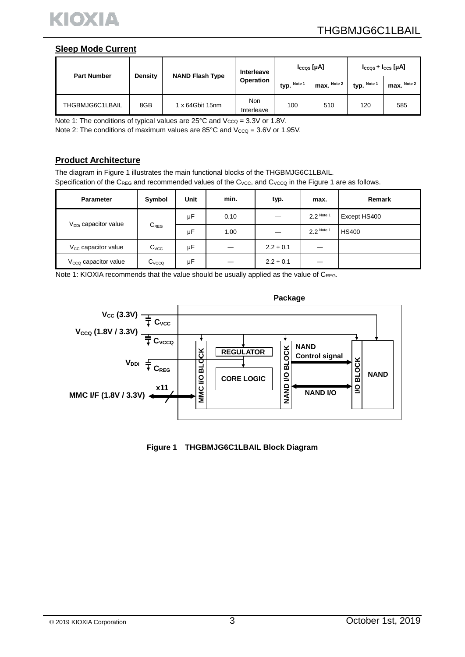

#### **Sleep Mode Current**

|                    |         |                        | Interleave               |             | $I_{CCQS}$ [µA] |             | $I_{CCQS} + I_{CCS}$ [µA] |
|--------------------|---------|------------------------|--------------------------|-------------|-----------------|-------------|---------------------------|
| <b>Part Number</b> | Density | <b>NAND Flash Type</b> | Operation                | typ. Note 1 | $max.$ Note 2   | typ. Note 1 | $max.$ Note 2             |
| THGBMJG6C1LBAIL    | 8GB     | 1 x 64Gbit 15nm        | <b>Non</b><br>Interleave | 100         | 510             | 120         | 585                       |

Note 1: The conditions of typical values are  $25^{\circ}$ C and  $V_{CCQ} = 3.3V$  or 1.8V.

Note 2: The conditions of maximum values are  $85^{\circ}$ C and  $V_{CCQ} = 3.6V$  or 1.95V.

#### **Product Architecture**

The diagram in Figure 1 illustrates the main functional blocks of the THGBMJG6C1LBAIL. Specification of the CREG and recommended values of the Cvcc, and Cvcco in the Figure 1 are as follows.

| <b>Parameter</b>                | Symbol            | <b>Unit</b> | min. | typ.        | max.       | Remark       |
|---------------------------------|-------------------|-------------|------|-------------|------------|--------------|
|                                 |                   | μF          | 0.10 |             | 2.2 Note 1 | Except HS400 |
| $V_{DDi}$ capacitor value       | $C_{REG}$         | μF          | 1.00 |             | 2.2 Note 1 | <b>HS400</b> |
| V <sub>cc</sub> capacitor value | C <sub>VCC</sub>  | μF          |      | $2.2 + 0.1$ |            |              |
| $V_{CCQ}$ capacitor value       | $C_{\text{VCCQ}}$ | μF          |      | $2.2 + 0.1$ |            |              |

Note 1: KIOXIA recommends that the value should be usually applied as the value of CREG.



**Figure 1 THGBMJG6C1LBAIL Block Diagram**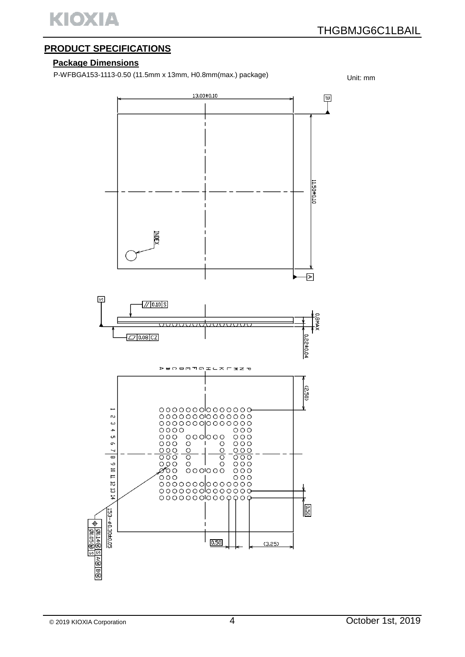

# **PRODUCT SPECIFICATIONS**

#### **Package Dimensions**

P-WFBGA153-1113-0.50 (11.5mm x 13mm, H0.8mm(max.) package) Unit: mm

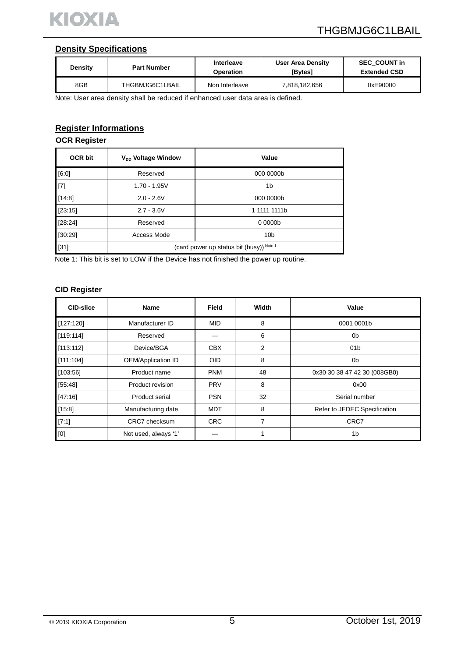

#### **Density Specifications**

| Density | Interleave<br><b>Part Number</b><br>Operation |                | User Area Density<br>[Bytes] | <b>SEC COUNT in</b><br><b>Extended CSD</b> |  |
|---------|-----------------------------------------------|----------------|------------------------------|--------------------------------------------|--|
| 8GB     | THGBMJG6C1LBAIL                               | Non Interleave | 7,818,182,656                | 0xE90000                                   |  |

Note: User area density shall be reduced if enhanced user data area is defined.

# **Register Informations**

#### **OCR Register**

| <b>OCR bit</b> | V <sub>DD</sub> Voltage Window           | Value           |  |  |
|----------------|------------------------------------------|-----------------|--|--|
| [6:0]          | Reserved                                 | 000 0000b       |  |  |
| $[7]$          | $1.70 - 1.95V$                           | 1b              |  |  |
| [14:8]         | $2.0 - 2.6V$                             | 000 0000b       |  |  |
| [23:15]        | $2.7 - 3.6V$                             | 1 1111 1111b    |  |  |
| [28:24]        | Reserved                                 | 0 0000b         |  |  |
| [30:29]        | Access Mode                              | 10 <sub>b</sub> |  |  |
| $[31]$         | (card power up status bit (busy)) Note 1 |                 |  |  |

Note 1: This bit is set to LOW if the Device has not finished the power up routine.

#### **CID Register**

| <b>CID-slice</b>                                                                                                                                                                                                                                                                                                                                                                                                                                                                                                                                                                                   | <b>Name</b>               | Field      | Width          | Value                        |  |
|----------------------------------------------------------------------------------------------------------------------------------------------------------------------------------------------------------------------------------------------------------------------------------------------------------------------------------------------------------------------------------------------------------------------------------------------------------------------------------------------------------------------------------------------------------------------------------------------------|---------------------------|------------|----------------|------------------------------|--|
| [127:120]                                                                                                                                                                                                                                                                                                                                                                                                                                                                                                                                                                                          | Manufacturer ID           | <b>MID</b> | 8              | 0001 0001b                   |  |
| [119:114]                                                                                                                                                                                                                                                                                                                                                                                                                                                                                                                                                                                          | Reserved                  |            | 6              | 0b                           |  |
| [113:112]                                                                                                                                                                                                                                                                                                                                                                                                                                                                                                                                                                                          | Device/BGA                | <b>CBX</b> | $\overline{2}$ | 01 <sub>b</sub>              |  |
| [111:104]                                                                                                                                                                                                                                                                                                                                                                                                                                                                                                                                                                                          | <b>OEM/Application ID</b> | <b>OID</b> | 8              | 0b                           |  |
| [103:56]                                                                                                                                                                                                                                                                                                                                                                                                                                                                                                                                                                                           | Product name              | <b>PNM</b> | 48             | 0x30 30 38 47 42 30 (008GB0) |  |
| [55:48]                                                                                                                                                                                                                                                                                                                                                                                                                                                                                                                                                                                            | Product revision          | <b>PRV</b> | 8              | 0x00                         |  |
| [47:16]                                                                                                                                                                                                                                                                                                                                                                                                                                                                                                                                                                                            | Product serial            | <b>PSN</b> | 32             | Serial number                |  |
| [15:8]                                                                                                                                                                                                                                                                                                                                                                                                                                                                                                                                                                                             | Manufacturing date        | <b>MDT</b> | 8              | Refer to JEDEC Specification |  |
| [7:1]                                                                                                                                                                                                                                                                                                                                                                                                                                                                                                                                                                                              | CRC7 checksum             | <b>CRC</b> | 7              | CRC7                         |  |
| $[0] % \begin{center} % \includegraphics[width=\linewidth]{imagesSupplemental_3.png} % \end{center} % \caption { % Our method can be used for the use of the image. % Note that the \emph{DefNet}~\cite{bib66} as a function of the \emph{DefNet}~\cite{bib66} as a function of the \emph{DefNet}~\cite{bib66} as a function of the \emph{DefNet}~\cite{bib66} as a function of the \emph{DefNet}~\cite{bib66} as a function of the \emph{DefNet}~\cite{bib66} as a function of the \emph{DefNet}~\cite{bib66} as a function of the \emph{DefNet}~\cite{bib66} as a function of the \emph{DefNet}$ | Not used, always '1'      |            |                | 1 <sub>b</sub>               |  |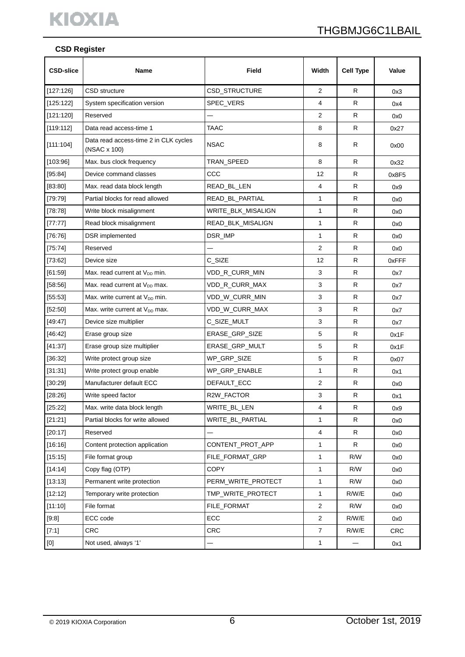

#### **CSD Register**

| <b>CSD-slice</b> | Name                                                  | Field              | Width        | <b>Cell Type</b> | Value      |
|------------------|-------------------------------------------------------|--------------------|--------------|------------------|------------|
| [127:126]        | <b>CSD</b> structure                                  | CSD_STRUCTURE      | 2            | R                | 0x3        |
| [125:122]        | System specification version                          | SPEC_VERS          | 4            | R                | 0x4        |
| [121:120]        | Reserved                                              |                    | 2            | R                | 0x0        |
| [119:112]        | Data read access-time 1                               | <b>TAAC</b>        | 8            | R                | 0x27       |
| [111:104]        | Data read access-time 2 in CLK cycles<br>(NSAC x 100) | <b>NSAC</b>        | 8            | R                | 0x00       |
| [103:96]         | Max. bus clock frequency                              | TRAN SPEED         | 8            | R                | 0x32       |
| [95:84]          | Device command classes                                | CCC                | 12           | R                | 0x8F5      |
| [83:80]          | Max. read data block length                           | READ_BL_LEN        | 4            | R                | 0x9        |
| [79:79]          | Partial blocks for read allowed                       | READ_BL_PARTIAL    | $\mathbf{1}$ | R                | 0x0        |
| [78:78]          | Write block misalignment                              | WRITE_BLK_MISALIGN | $\mathbf{1}$ | R                | 0x0        |
| [77:77]          | Read block misalignment                               | READ_BLK_MISALIGN  | 1            | R                | 0x0        |
| [76:76]          | DSR implemented                                       | DSR_IMP            | $\mathbf{1}$ | R                | 0x0        |
| [75:74]          | Reserved                                              |                    | 2            | R                | 0x0        |
| [73:62]          | Device size                                           | C_SIZE             | 12           | R                | 0xFFF      |
| [61:59]          | Max. read current at V <sub>DD</sub> min.             | VDD_R_CURR_MIN     | 3            | R                | 0x7        |
| [58:56]          | Max. read current at V <sub>DD</sub> max.             | VDD_R_CURR_MAX     | 3            | R                | 0x7        |
| [55:53]          | Max. write current at V <sub>DD</sub> min.            | VDD_W_CURR_MIN     | 3            | R                | 0x7        |
| [52:50]          | Max. write current at $V_{DD}$ max.                   | VDD_W_CURR_MAX     | 3            | R                | 0x7        |
| [49.47]          | Device size multiplier                                | C_SIZE_MULT        | 3            | R                | 0x7        |
| [46:42]          | Erase group size                                      | ERASE_GRP_SIZE     | 5            | R                | 0x1F       |
| [41:37]          | Erase group size multiplier                           | ERASE_GRP_MULT     | 5            | R                | 0x1F       |
| [36:32]          | Write protect group size                              | WP_GRP_SIZE        | $\,$ 5 $\,$  | R                | 0x07       |
| [31:31]          | Write protect group enable                            | WP_GRP_ENABLE      | $\mathbf{1}$ | R                | 0x1        |
| [30:29]          | Manufacturer default ECC                              | DEFAULT_ECC        | 2            | R                | 0x0        |
| [28:26]          | Write speed factor                                    | R2W_FACTOR         | 3            | R                | 0x1        |
| [25:22]          | Max. write data block length                          | WRITE_BL_LEN       | 4            | R                | 0x9        |
| [21:21]          | Partial blocks for write allowed                      | WRITE_BL_PARTIAL   | $\mathbf{1}$ | R                | 0x0        |
| [20:17]          | Reserved                                              |                    | 4            | R                | 0x0        |
| [16:16]          | Content protection application                        | CONTENT_PROT_APP   | $\mathbf{1}$ | R                | 0x0        |
| [15:15]          | File format group                                     | FILE FORMAT GRP    | $\mathbf{1}$ | R/W              | 0x0        |
| [14:14]          | Copy flag (OTP)                                       | <b>COPY</b>        | $\mathbf{1}$ | R/W              | 0x0        |
| [13:13]          | Permanent write protection                            | PERM_WRITE_PROTECT | 1            | R/W              | 0x0        |
| [12:12]          | Temporary write protection                            | TMP_WRITE_PROTECT  | $\mathbf{1}$ | R/W/E            | 0x0        |
| [11:10]          | File format                                           | FILE_FORMAT        | $\mathbf{2}$ | R/W              | 0x0        |
| [9.8]            | ECC code                                              | ECC                | 2            | R/W/E            | 0x0        |
| [7:1]            | <b>CRC</b>                                            | <b>CRC</b>         | 7            | R/W/E            | <b>CRC</b> |
| $[0]$            | Not used, always '1'                                  |                    | $\mathbf{1}$ |                  | 0x1        |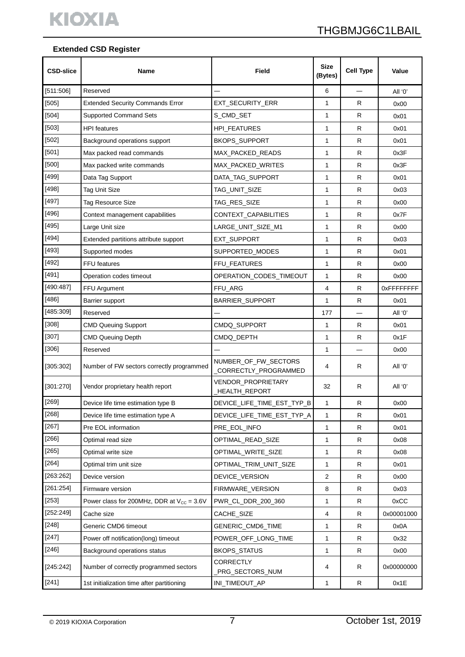# **Extended CSD Register**

| <b>CSD-slice</b> | Name                                                  | Field                                        | <b>Size</b><br>(Bytes) | <b>Cell Type</b> | Value      |
|------------------|-------------------------------------------------------|----------------------------------------------|------------------------|------------------|------------|
| [511:506]        | Reserved                                              |                                              | 6                      |                  | All '0'    |
| [505]            | <b>Extended Security Commands Error</b>               | EXT_SECURITY_ERR                             | 1                      | R                | 0x00       |
| $[504]$          | <b>Supported Command Sets</b>                         | S_CMD_SET                                    | 1                      | R                | 0x01       |
| [503]            | <b>HPI</b> features                                   | HPI_FEATURES                                 | 1                      | R                | 0x01       |
| [502]            | Background operations support                         | <b>BKOPS_SUPPORT</b>                         | 1                      | R                | 0x01       |
| [501]            | Max packed read commands                              | MAX_PACKED_READS                             | 1                      | R                | 0x3F       |
| $[500]$          | Max packed write commands                             | MAX PACKED WRITES                            | 1                      | R                | 0x3F       |
| [499]            | Data Tag Support                                      | DATA_TAG_SUPPORT                             | 1                      | R                | 0x01       |
| [498]            | <b>Tag Unit Size</b>                                  | TAG_UNIT_SIZE                                | 1                      | R                | 0x03       |
| [497]            | Tag Resource Size                                     | TAG_RES_SIZE                                 | 1                      | R                | 0x00       |
| [496]            | Context management capabilities                       | CONTEXT_CAPABILITIES                         | 1                      | R                | 0x7F       |
| [495]            | Large Unit size                                       | LARGE UNIT SIZE M1                           | 1                      | R                | 0x00       |
| [494]            | Extended partitions attribute support                 | EXT_SUPPORT                                  | 1                      | R                | 0x03       |
| [493]            | Supported modes                                       | SUPPORTED_MODES                              | 1                      | R                | 0x01       |
| [492]            | FFU features                                          | FFU_FEATURES                                 | 1                      | R                | 0x00       |
| [491]            | Operation codes timeout                               | OPERATION_CODES_TIMEOUT                      | 1                      | R                | 0x00       |
| [490:487]        | FFU Argument                                          | FFU_ARG                                      | 4                      | $\mathsf{R}$     | 0xFFFFFFFF |
| [486]            | Barrier support                                       | BARRIER_SUPPORT                              | 1                      | R                | 0x01       |
| [485:309]        | Reserved                                              |                                              | 177                    |                  | All '0'    |
| [308]            | <b>CMD Queuing Support</b>                            | CMDQ_SUPPORT                                 | 1                      | R                | 0x01       |
| [307]            | <b>CMD Queuing Depth</b>                              | CMDQ_DEPTH                                   | 1                      | R                | 0x1F       |
| $[306]$          | Reserved                                              |                                              | 1                      |                  | 0x00       |
| [305:302]        | Number of FW sectors correctly programmed             | NUMBER_OF_FW_SECTORS<br>CORRECTLY_PROGRAMMED | 4                      | R                | All '0'    |
| [301:270]        | Vendor proprietary health report                      | VENDOR_PROPRIETARY<br>_HEALTH_REPORT         | 32                     | R                | All '0'    |
| $[269]$          | Device life time estimation type B                    | DEVICE_LIFE_TIME_EST_TYP_B                   | 1                      | R                | 0x00       |
| [268]            | Device life time estimation type A                    | DEVICE_LIFE_TIME_EST_TYP_A                   | 1                      | $\mathsf{R}$     | 0x01       |
| [267]            | Pre EOL information                                   | PRE_EOL_INFO                                 | 1                      | R                | 0x01       |
| [266]            | Optimal read size                                     | OPTIMAL READ SIZE                            | 1                      | R                | 0x08       |
| [265]            | Optimal write size                                    | OPTIMAL_WRITE_SIZE                           | 1                      | R                | 0x08       |
| [264]            | Optimal trim unit size                                | OPTIMAL_TRIM_UNIT_SIZE                       | 1                      | R                | 0x01       |
| [263:262]        | Device version                                        | DEVICE_VERSION                               | 2                      | R                | 0x00       |
| [261:254]        | Firmware version                                      | FIRMWARE_VERSION                             | 8                      | R                | 0x03       |
| [253]            | Power class for 200MHz, DDR at $V_{\text{CC}} = 3.6V$ | PWR_CL_DDR_200_360                           | 1                      | R                | 0xCC       |
| [252:249]        | Cache size                                            | CACHE_SIZE                                   | 4                      | R                | 0x00001000 |
| [248]            | Generic CMD6 timeout                                  | GENERIC_CMD6_TIME                            | 1                      | R                | 0x0A       |
| $[247]$          | Power off notification(long) timeout                  | POWER_OFF_LONG_TIME                          | 1                      | R                | 0x32       |
| [246]            | Background operations status                          | <b>BKOPS_STATUS</b>                          | 1                      | R                | 0x00       |
| [245:242]        | Number of correctly programmed sectors                | <b>CORRECTLY</b><br>PRG_SECTORS_NUM          | 4                      | R                | 0x00000000 |
| [241]            | 1st initialization time after partitioning            | INI_TIMEOUT_AP                               | 1                      | R                | 0x1E       |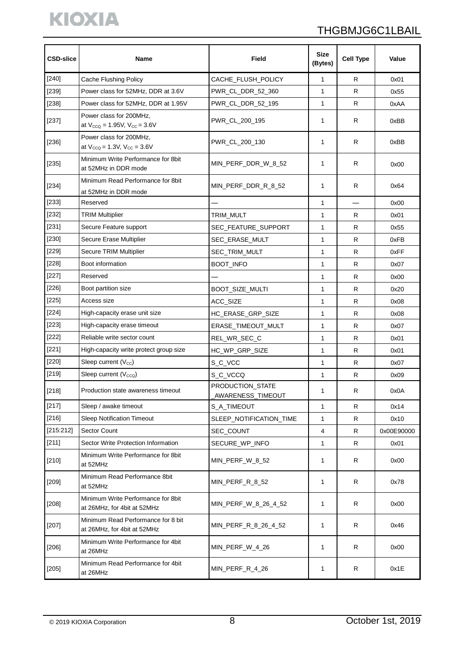# THGBMJG6C1LBAIL

| <b>CSD-slice</b> | Name                                                              | Field                                 | <b>Size</b><br>(Bytes) | <b>Cell Type</b> | Value      |
|------------------|-------------------------------------------------------------------|---------------------------------------|------------------------|------------------|------------|
| $[240]$          | <b>Cache Flushing Policy</b>                                      | CACHE_FLUSH_POLICY                    | 1                      | R                | 0x01       |
| [239]            | Power class for 52MHz, DDR at 3.6V                                | PWR_CL_DDR_52_360                     | $\mathbf{1}$           | R                | 0x55       |
| $[238]$          | Power class for 52MHz, DDR at 1.95V                               | PWR_CL_DDR_52_195                     | 1                      | R                | 0xAA       |
| $[237]$          | Power class for 200MHz,<br>at $V_{CCQ} = 1.95V$ , $V_{CC} = 3.6V$ | PWR_CL_200_195                        | 1                      | R                | 0xBB       |
| $[236]$          | Power class for 200MHz,<br>at $V_{CCQ} = 1.3V$ , $V_{CC} = 3.6V$  | PWR_CL_200_130                        | 1                      | R                | 0xBB       |
| [235]            | Minimum Write Performance for 8bit<br>at 52MHz in DDR mode        | MIN_PERF_DDR_W_8_52                   | 1                      | R                | 0x00       |
| $[234]$          | Minimum Read Performance for 8bit<br>at 52MHz in DDR mode         | MIN_PERF_DDR_R_8_52                   | 1                      | R                | 0x64       |
| $[233]$          | Reserved                                                          |                                       | 1                      |                  | 0x00       |
| $[232]$          | <b>TRIM Multiplier</b>                                            | TRIM_MULT                             | 1                      | R                | 0x01       |
| [231]            | Secure Feature support                                            | SEC FEATURE SUPPORT                   | 1                      | R                | 0x55       |
| $[230]$          | Secure Erase Multiplier                                           | SEC_ERASE_MULT                        | 1                      | R.               | 0xFB       |
| $[229]$          | Secure TRIM Multiplier                                            | SEC_TRIM_MULT                         | 1                      | R                | 0xFF       |
| $[228]$          | Boot information                                                  | <b>BOOT_INFO</b>                      | $\mathbf{1}$           | R                | 0x07       |
| $[227]$          | Reserved                                                          |                                       | $\mathbf{1}$           | R                | 0x00       |
| [226]            | Boot partition size                                               | BOOT_SIZE_MULTI                       | 1                      | R                | 0x20       |
| $[225]$          | Access size                                                       | ACC_SIZE                              | $\mathbf{1}$           | R                | 0x08       |
| $[224]$          | High-capacity erase unit size                                     | HC_ERASE_GRP_SIZE                     | 1                      | R                | 0x08       |
| $[223]$          | High-capacity erase timeout                                       | ERASE_TIMEOUT_MULT                    | 1                      | R                | 0x07       |
| $[222]$          | Reliable write sector count                                       | REL_WR_SEC_C                          | 1                      | R                | 0x01       |
| $[221]$          | High-capacity write protect group size                            | HC_WP_GRP_SIZE                        | 1                      | R                | 0x01       |
| $[220]$          | Sleep current (Vcc)                                               | S_C_VCC                               | $\mathbf{1}$           | R                | 0x07       |
| $[219]$          | Sleep current (V <sub>cco</sub> )                                 | S_C_VCCQ                              | $\mathbf{1}$           | R                | 0x09       |
| $[218]$          | Production state awareness timeout                                | PRODUCTION_STATE<br>AWARENESS_TIMEOUT | $\mathbf{1}$           | R                | 0x0A       |
| [217]            | Sleep / awake timeout                                             | S_A_TIMEOUT                           | 1                      | R                | 0x14       |
| $[216]$          | <b>Sleep Notification Timeout</b>                                 | SLEEP_NOTIFICATION_TIME               | $\mathbf{1}$           | R                | 0x10       |
| [215:212]        | Sector Count                                                      | SEC_COUNT                             | 4                      | R                | 0x00E90000 |
| [211]            | Sector Write Protection Information                               | SECURE_WP_INFO                        | 1                      | R                | 0x01       |
| $[210]$          | Minimum Write Performance for 8bit<br>at 52MHz                    | MIN_PERF_W_8_52                       | 1                      | R                | 0x00       |
| $[209]$          | Minimum Read Performance 8bit<br>at 52MHz                         | MIN PERF R 8 52                       | 1                      | R                | 0x78       |
| $[208]$          | Minimum Write Performance for 8bit<br>at 26MHz, for 4bit at 52MHz | MIN_PERF_W_8_26_4_52                  | 1                      | R                | 0x00       |
| $[207]$          | Minimum Read Performance for 8 bit<br>at 26MHz, for 4bit at 52MHz | MIN_PERF_R_8_26_4_52                  | 1                      | R                | 0x46       |
| $[206]$          | Minimum Write Performance for 4bit<br>at 26MHz                    | MIN_PERF_W_4_26                       | 1                      | R                | 0x00       |
| $[205]$          | Minimum Read Performance for 4bit<br>at 26MHz                     | MIN_PERF_R_4_26                       | 1                      | R                | 0x1E       |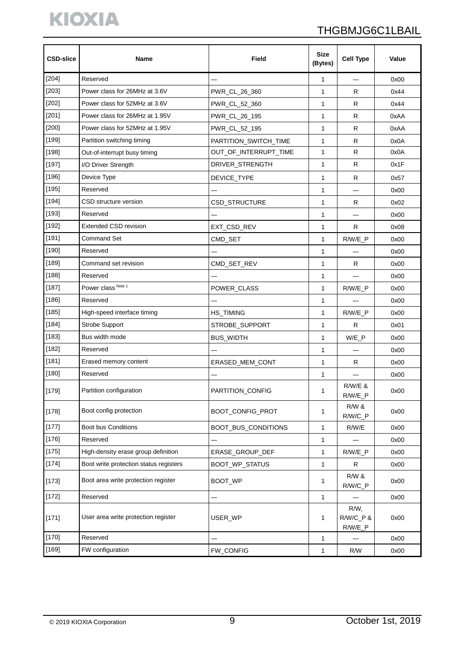# KIOXIA

# THGBMJG6C1LBAIL

| <b>CSD-slice</b> | <b>Name</b>                            | <b>Size</b><br>Field<br>(Bytes) |              | <b>Cell Type</b>               | Value |
|------------------|----------------------------------------|---------------------------------|--------------|--------------------------------|-------|
| $[204]$          | Reserved                               |                                 | 1            |                                | 0x00  |
| $[203]$          | Power class for 26MHz at 3.6V          | PWR_CL_26_360                   | $\mathbf{1}$ | R                              | 0x44  |
| $[202]$          | Power class for 52MHz at 3.6V          | PWR_CL_52_360                   | $\mathbf{1}$ | R                              | 0x44  |
| $[201]$          | Power class for 26MHz at 1.95V         | PWR_CL_26_195                   | 1            | R.                             | 0xAA  |
| $[200]$          | Power class for 52MHz at 1.95V         | PWR_CL_52_195                   | $\mathbf{1}$ | R                              | 0xAA  |
| [199]            | Partition switching timing             | PARTITION_SWITCH_TIME           | 1            | $\mathsf{R}$                   | 0x0A  |
| [198]            | Out-of-interrupt busy timing           | OUT_OF_INTERRUPT_TIME           | $\mathbf{1}$ | R                              | 0x0A  |
| $[197]$          | I/O Driver Strength                    | DRIVER_STRENGTH                 | 1            | $\mathsf{R}$                   | 0x1F  |
| $[196]$          | Device Type                            | DEVICE_TYPE                     | 1            | R                              | 0x57  |
| $[195]$          | Reserved                               |                                 | 1            |                                | 0x00  |
| $[194]$          | CSD structure version                  | CSD_STRUCTURE                   | $\mathbf{1}$ | R                              | 0x02  |
| $[193]$          | Reserved                               |                                 | 1            |                                | 0x00  |
| $[192]$          | <b>Extended CSD revision</b>           | EXT_CSD_REV                     | $\mathbf{1}$ | R                              | 0x08  |
| $[191]$          | <b>Command Set</b>                     | CMD_SET                         | 1            | R/W/E_P                        | 0x00  |
| $[190]$          | Reserved                               |                                 | 1            |                                | 0x00  |
| $[189]$          | Command set revision                   | CMD_SET_REV                     | $\mathbf{1}$ | R                              | 0x00  |
| [188]            | Reserved                               |                                 | 1            |                                | 0x00  |
| [187]            | Power class Note 1                     | POWER_CLASS                     | 1            | $R/W/E_P$                      | 0x00  |
| $[186]$          | Reserved                               |                                 | 1            |                                | 0x00  |
| $[185]$          | High-speed interface timing            | HS_TIMING                       | $\mathbf{1}$ | R/W/E_P                        | 0x00  |
| [184]            | Strobe Support                         | STROBE_SUPPORT                  | $\mathbf{1}$ | R                              | 0x01  |
| $[183]$          | Bus width mode                         | <b>BUS_WIDTH</b>                | 1            | W/E_P                          | 0x00  |
| $[182]$          | Reserved                               |                                 | 1            |                                | 0x00  |
| $[181]$          | Erased memory content                  | ERASED MEM CONT                 | 1            | R                              | 0x00  |
| $[180]$          | Reserved                               |                                 | 1            |                                | 0x00  |
| [179]            | Partition configuration                | PARTITION_CONFIG                | 1            | $R/W/E$ &<br>$R/W/E_P$         | 0x00  |
| $[178]$          | Boot config protection                 | BOOT_CONFIG_PROT                | 1            | <b>R/W &amp;</b><br>R/W/C_P    | 0x00  |
| $[177]$          | Boot bus Conditions                    | <b>BOOT BUS CONDITIONS</b>      | 1            | R/W/E                          | 0x00  |
| [176]            | Reserved                               |                                 | 1            |                                | 0x00  |
| [175]            | High-density erase group definition    | ERASE_GROUP_DEF                 | $\mathbf{1}$ | R/W/E_P                        | 0x00  |
| [174]            | Boot write protection status registers | BOOT_WP_STATUS                  | 1            | R                              | 0x00  |
| $[173]$          | Boot area write protection register    | <b>BOOT WP</b>                  | 1            | R/W &<br>R/W/C_P               | 0x00  |
| $[172]$          | Reserved                               |                                 | 1            |                                | 0x00  |
| $[171]$          | User area write protection register    | USER_WP                         | 1            | R/W,<br>R/W/C_P &<br>$R/W/E_P$ | 0x00  |
| $[170]$          | Reserved                               |                                 | 1            |                                | 0x00  |
| $[169]$          | FW configuration                       | FW_CONFIG                       | $\mathbf{1}$ | R/W                            | 0x00  |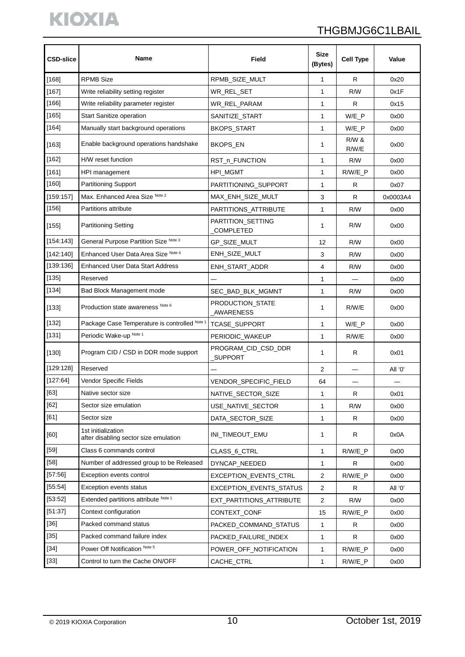# KIOXIA

# THGBMJG6C1LBAIL

| <b>CSD-slice</b> | Name                                                        | Field                                 | <b>Size</b><br>(Bytes) | <b>Cell Type</b>          | Value    |
|------------------|-------------------------------------------------------------|---------------------------------------|------------------------|---------------------------|----------|
| [168]            | <b>RPMB Size</b>                                            | RPMB_SIZE_MULT                        | 1                      | R                         | 0x20     |
| [167]            | Write reliability setting register                          | WR_REL_SET                            | $\mathbf{1}$           | R/W                       | 0x1F     |
| [166]            | Write reliability parameter register                        | WR_REL_PARAM                          | 1                      | R                         | 0x15     |
| [165]            | <b>Start Sanitize operation</b>                             | SANITIZE_START                        | 1                      | $W/E_P$                   | 0x00     |
| $[164]$          | Manually start background operations                        | <b>BKOPS_START</b>                    | 1                      | $W/E_P$                   | 0x00     |
| [163]            | Enable background operations handshake                      | BKOPS_EN                              | 1                      | <b>R/W &amp;</b><br>R/W/E | 0x00     |
| [162]            | H/W reset function                                          | RST_n_FUNCTION                        | 1                      | R/W                       | 0x00     |
| [161]            | HPI management                                              | HPI_MGMT                              | 1                      | R/W/E_P                   | 0x00     |
| [160]            | <b>Partitioning Support</b>                                 | PARTITIONING_SUPPORT                  | $\mathbf{1}$           | R                         | 0x07     |
| [159:157]        | Max. Enhanced Area Size Note 2                              | MAX_ENH_SIZE_MULT                     | 3                      | ${\sf R}$                 | 0x0003A4 |
| [156]            | Partitions attribute                                        | PARTITIONS ATTRIBUTE                  | 1                      | R/W                       | 0x00     |
| [155]            | <b>Partitioning Setting</b>                                 | PARTITION_SETTING<br><b>COMPLETED</b> | 1                      | R/W                       | 0x00     |
| [154:143]        | General Purpose Partition Size Note 3                       | GP_SIZE_MULT                          | 12                     | R/W                       | 0x00     |
| [142:140]        | Enhanced User Data Area Size Note 4                         | ENH_SIZE_MULT                         | 3                      | R/W                       | 0x00     |
| [139:136]        | <b>Enhanced User Data Start Address</b>                     | ENH_START_ADDR                        | 4                      | R/W                       | 0x00     |
| [135]            | Reserved                                                    |                                       | 1                      |                           | 0x00     |
| $[134]$          | Bad Block Management mode                                   | SEC_BAD_BLK_MGMNT                     | 1                      | R/W                       | 0x00     |
| [133]            | Production state awareness Note 6                           | PRODUCTION_STATE<br>AWARENESS         | 1                      | R/W/E                     | 0x00     |
| [132]            | Package Case Temperature is controlled Note                 | TCASE_SUPPORT                         | 1                      | $W/E_P$                   | 0x00     |
| [131]            | Periodic Wake-up Note 1                                     | PERIODIC_WAKEUP                       | 1                      | R/W/E                     | 0x00     |
| [130]            | Program CID / CSD in DDR mode support                       | PROGRAM_CID_CSD_DDR<br>SUPPORT        | 1                      | R                         | 0x01     |
| [129:128]        | Reserved                                                    |                                       | 2                      |                           | All '0'  |
| [127:64]         | Vendor Specific Fields                                      | <b>VENDOR SPECIFIC FIELD</b>          | 64                     |                           |          |
| $[63]$           | Native sector size                                          | NATIVE_SECTOR_SIZE                    | 1                      | ${\sf R}$                 | 0x01     |
| $[62]$           | Sector size emulation                                       | USE NATIVE SECTOR                     | 1                      | R/W                       | 0x00     |
| $[61]$           | Sector size                                                 | DATA_SECTOR_SIZE                      | 1                      | R                         | 0x00     |
| [60]             | 1st initialization<br>after disabling sector size emulation | INI_TIMEOUT_EMU                       | 1                      | R                         | 0x0A     |
| $[59]$           | Class 6 commands control                                    | CLASS_6_CTRL                          | 1                      | R/W/E_P                   | 0x00     |
| $[58]$           | Number of addressed group to be Released                    | DYNCAP_NEEDED                         | 1                      | $\mathsf{R}$              | 0x00     |
| [57:56]          | Exception events control                                    | EXCEPTION_EVENTS_CTRL                 | $\overline{c}$         | R/W/E_P                   | 0x00     |
| [55:54]          | Exception events status                                     | EXCEPTION_EVENTS_STATUS               | 2                      | R                         | All '0'  |
| [53:52]          | Extended partitions attribute Note 1                        | EXT_PARTITIONS_ATTRIBUTE              | $\overline{c}$         | R/W                       | 0x00     |
| [51:37]          | Context configuration                                       | CONTEXT_CONF                          | 15                     | R/W/E_P                   | 0x00     |
| $[36]$           | Packed command status                                       | PACKED_COMMAND_STATUS                 | 1                      | R                         | 0x00     |
| $[35]$           | Packed command failure index                                | PACKED_FAILURE_INDEX                  | 1                      | R                         | 0x00     |
| $[34]$           | Power Off Notification Note 5                               | POWER_OFF_NOTIFICATION                | 1                      | $R/W/E_P$                 | 0x00     |
| $[33]$           | Control to turn the Cache ON/OFF                            | CACHE_CTRL                            | 1                      | R/W/E_P                   | 0x00     |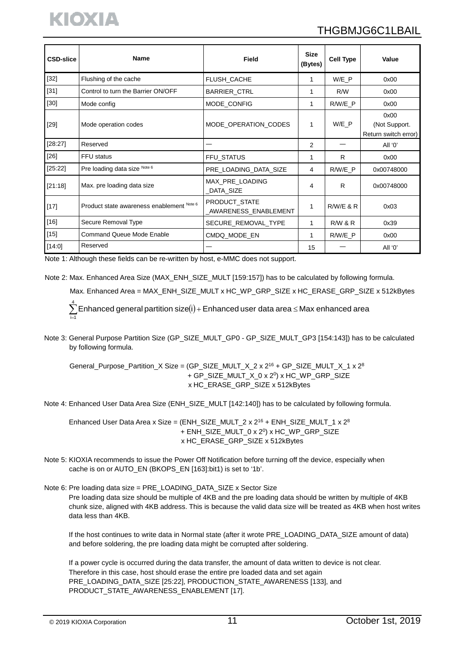| <b>CSD-slice</b> | <b>Name</b>                               | Field                                 | Size<br>(Bytes) | <b>Cell Type</b>   | Value                                         |
|------------------|-------------------------------------------|---------------------------------------|-----------------|--------------------|-----------------------------------------------|
| $[32]$           | Flushing of the cache                     | FLUSH_CACHE                           | 1               | W/E P              | 0x00                                          |
| $[31]$           | Control to turn the Barrier ON/OFF        | BARRIER_CTRL                          | 1               | R/W                | 0x00                                          |
| $[30]$           | Mode config                               | MODE_CONFIG                           | 1               | R/W/E P            | 0x00                                          |
| $[29]$           | Mode operation codes                      | MODE OPERATION CODES                  | 1               | $W/E_P$            | 0x00<br>(Not Support.<br>Return switch error) |
| [28:27]          | Reserved                                  |                                       | $\overline{2}$  |                    | All '0'                                       |
| $[26]$           | FFU status                                | <b>FFU STATUS</b>                     | 1               | R                  | 0x00                                          |
| [25:22]          | Pre loading data size Note 6              | PRE_LOADING_DATA_SIZE                 | 4               | R/W/E P            | 0x00748000                                    |
| [21:18]          | Max. pre loading data size                | MAX_PRE_LOADING<br>DATA_SIZE          | 4               | R                  | 0x00748000                                    |
| $[17]$           | Product state awareness enablement Note 6 | PRODUCT_STATE<br>AWARENESS_ENABLEMENT | 1               | $R/W/E$ & $R$      | 0x03                                          |
| $[16]$           | Secure Removal Type                       | SECURE REMOVAL TYPE                   | 1               | <b>R/W &amp; R</b> | 0x39                                          |
| $[15]$           | <b>Command Queue Mode Enable</b>          | CMDQ MODE EN                          | 1               | R/W/E P            | 0x00                                          |
| [14:0]           | Reserved                                  |                                       | 15              |                    | All '0'                                       |

Note 1: Although these fields can be re-written by host, e-MMC does not support.

Note 2: Max. Enhanced Area Size (MAX\_ENH\_SIZE\_MULT [159:157]) has to be calculated by following formula.

Max. Enhanced Area = MAX\_ENH\_SIZE\_MULT x HC\_WP\_GRP\_SIZE x HC\_ERASE\_GRP\_SIZE x 512kBytes

 $\sum\limits_{i=1}^4$ Enhanced general partition size(i) + Enhanced user data area ≤ Max enhanced area  $i = 1$ 

Note 3: General Purpose Partition Size (GP\_SIZE\_MULT\_GP0 - GP\_SIZE\_MULT\_GP3 [154:143]) has to be calculated by following formula.

General\_Purpose\_Partition\_X Size = (GP\_SIZE\_MULT\_X\_2 x 2<sup>16</sup> + GP\_SIZE\_MULT\_X\_1 x 2<sup>8</sup> + GP\_SIZE\_MULT\_X\_0 x 20) x HC\_WP\_GRP\_SIZE x HC\_ERASE\_GRP\_SIZE x 512kBytes

Note 4: Enhanced User Data Area Size (ENH\_SIZE\_MULT [142:140]) has to be calculated by following formula.

Enhanced User Data Area x Size = (ENH\_SIZE\_MULT\_2 x 2<sup>16</sup> + ENH\_SIZE\_MULT\_1 x 2<sup>8</sup> + ENH\_SIZE\_MULT\_0 x 2<sup>0</sup>) x HC\_WP\_GRP\_SIZE x HC\_ERASE\_GRP\_SIZE x 512kBytes

- Note 5: KIOXIA recommends to issue the Power Off Notification before turning off the device, especially when cache is on or AUTO\_EN (BKOPS\_EN [163]:bit1) is set to '1b'.
- Note 6: Pre loading data size = PRE\_LOADING\_DATA\_SIZE x Sector Size Pre loading data size should be multiple of 4KB and the pre loading data should be written by multiple of 4KB chunk size, aligned with 4KB address. This is because the valid data size will be treated as 4KB when host writes data less than 4KB.

If the host continues to write data in Normal state (after it wrote PRE\_LOADING\_DATA\_SIZE amount of data) and before soldering, the pre loading data might be corrupted after soldering.

 If a power cycle is occurred during the data transfer, the amount of data written to device is not clear. Therefore in this case, host should erase the entire pre loaded data and set again PRE\_LOADING\_DATA\_SIZE [25:22], PRODUCTION\_STATE\_AWARENESS [133], and PRODUCT\_STATE\_AWARENESS\_ENABLEMENT [17].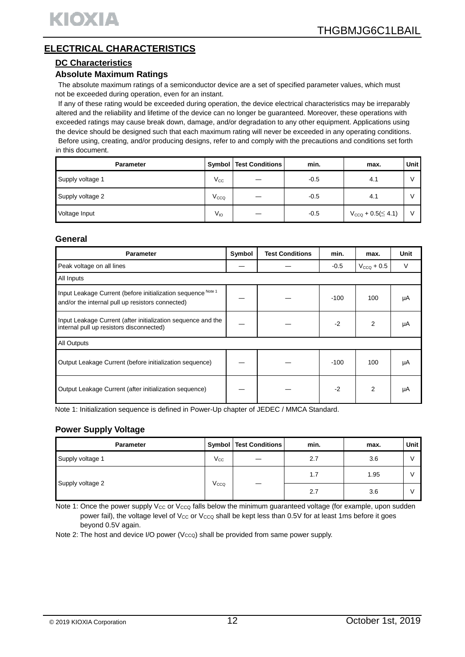# **ELECTRICAL CHARACTERISTICS**

#### **DC Characteristics**

#### **Absolute Maximum Ratings**

The absolute maximum ratings of a semiconductor device are a set of specified parameter values, which must not be exceeded during operation, even for an instant.

If any of these rating would be exceeded during operation, the device electrical characteristics may be irreparably altered and the reliability and lifetime of the device can no longer be guaranteed. Moreover, these operations with exceeded ratings may cause break down, damage, and/or degradation to any other equipment. Applications using the device should be designed such that each maximum rating will never be exceeded in any operating conditions. Before using, creating, and/or producing designs, refer to and comply with the precautions and conditions set forth in this document.

| <b>Parameter</b> |                 | <b>Symbol   Test Conditions  </b> | min.   | max.                         | Unit l |
|------------------|-----------------|-----------------------------------|--------|------------------------------|--------|
| Supply voltage 1 | $V_{\rm CC}$    |                                   | $-0.5$ | 4.1                          |        |
| Supply voltage 2 | Vcco            |                                   | $-0.5$ | 4.1                          |        |
| Voltage Input    | V <sub>IO</sub> |                                   | $-0.5$ | $V_{CCQ}$ + 0.5( $\leq$ 4.1) |        |

#### **General**

| <b>Parameter</b>                                                                                                 | Symbol | <b>Test Conditions</b> | min.   | max.            | <b>Unit</b> |
|------------------------------------------------------------------------------------------------------------------|--------|------------------------|--------|-----------------|-------------|
| Peak voltage on all lines                                                                                        |        |                        | $-0.5$ | $V_{CCQ}$ + 0.5 | V           |
| All Inputs                                                                                                       |        |                        |        |                 |             |
| Input Leakage Current (before initialization sequence Note 1<br>and/or the internal pull up resistors connected) |        |                        | $-100$ | 100             | μA          |
| Input Leakage Current (after initialization sequence and the<br>internal pull up resistors disconnected)         |        |                        | $-2$   | 2               | μA          |
| All Outputs                                                                                                      |        |                        |        |                 |             |
| Output Leakage Current (before initialization sequence)                                                          |        |                        | $-100$ | 100             | μA          |
| Output Leakage Current (after initialization sequence)                                                           |        |                        | $-2$   | 2               | μA          |

Note 1: Initialization sequence is defined in Power-Up chapter of JEDEC / MMCA Standard.

#### **Power Supply Voltage**

| <b>Parameter</b> |                  | Symbol   Test Conditions | min. | max. | Unit |
|------------------|------------------|--------------------------|------|------|------|
| Supply voltage 1 | $V_{\rm CC}$     |                          | 2.7  | 3.6  |      |
|                  |                  |                          | 1.7  | 1.95 |      |
| Supply voltage 2 | V <sub>CCQ</sub> |                          | 2.7  | 3.6  |      |

Note 1: Once the power supply Vcc or Vcco falls below the minimum guaranteed voltage (for example, upon sudden power fail), the voltage level of Vcc or Vcco shall be kept less than 0.5V for at least 1ms before it goes beyond 0.5V again.

Note 2: The host and device I/O power ( $V_{CCQ}$ ) shall be provided from same power supply.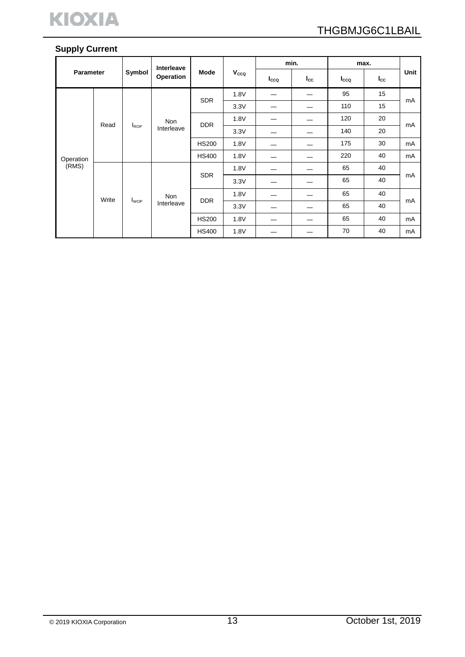

# **Supply Current**

|                  |       |                         | <b>Interleave</b> |              |              |      | min.         |              | max.            |      |     |     |    |
|------------------|-------|-------------------------|-------------------|--------------|--------------|------|--------------|--------------|-----------------|------|-----|-----|----|
| <b>Parameter</b> |       | Symbol                  | Operation         | Mode         | Vcco         | Icco | $I_{\rm CC}$ | Icco         | $_{\text{lcc}}$ | Unit |     |     |    |
|                  |       |                         |                   |              | 1.8V         | —    |              | 95           | 15              |      |     |     |    |
|                  |       |                         |                   | <b>SDR</b>   | 3.3V         |      |              | 110          | 15              | mA   |     |     |    |
|                  |       |                         | <b>Non</b>        |              | 1.8V         |      |              | 120          | 20              |      |     |     |    |
|                  | Read  | <b>I</b> ROP            | Interleave        |              |              |      | <b>DDR</b>   | 3.3V         |                 |      | 140 | 20  | mA |
|                  |       |                         |                   |              | <b>HS200</b> | 1.8V |              |              | 175             | 30   | mA  |     |    |
| Operation        |       |                         |                   |              |              |      |              | <b>HS400</b> | 1.8V            |      |     | 220 | 40 |
| (RMS)            |       |                         |                   |              | 1.8V         |      |              | 65           | 40              |      |     |     |    |
|                  |       |                         | <b>SDR</b>        |              | 3.3V         |      |              | 65           | 40              | mA   |     |     |    |
|                  | Write | <b>I</b> <sub>WOP</sub> | <b>Non</b>        | <b>DDR</b>   | 1.8V         |      |              | 65           | 40              |      |     |     |    |
|                  |       | Interleave              |                   | 3.3V         |              |      | 65           | 40           | mA              |      |     |     |    |
|                  |       |                         |                   | <b>HS200</b> | 1.8V         |      |              | 65           | 40              | mA   |     |     |    |
|                  |       |                         |                   | <b>HS400</b> | 1.8V         |      |              | 70           | 40              | mA   |     |     |    |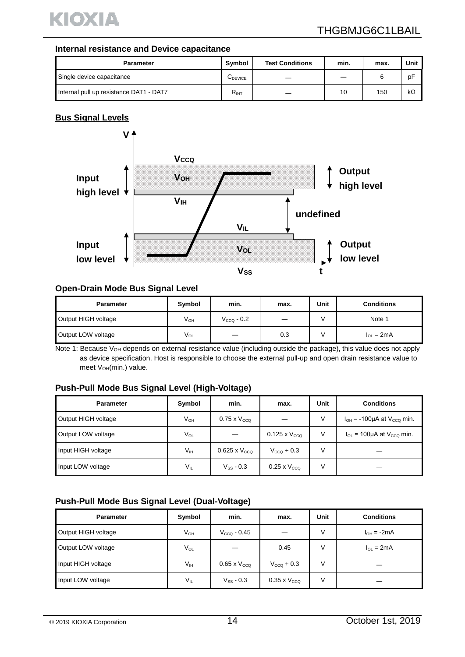

#### **Internal resistance and Device capacitance**

| <b>Parameter</b>                        | Symbol    | <b>Test Conditions</b> | min. | max. | Unit |
|-----------------------------------------|-----------|------------------------|------|------|------|
| Single device capacitance               | UDEVICE   |                        |      |      | pF   |
| Internal pull up resistance DAT1 - DAT7 | $R_{INT}$ |                        | 10   | 150  | kΩ   |

## **Bus Signal Levels**



#### **Open-Drain Mode Bus Signal Level**

| <b>Parameter</b>    | Symbol   | min.                   | max. | Unit | <b>Conditions</b> |
|---------------------|----------|------------------------|------|------|-------------------|
| Output HIGH voltage | $V_{OH}$ | $V_{\text{CCQ}}$ - 0.2 |      |      | Note 1            |
| Output LOW voltage  | $V_{OL}$ |                        | 0.3  |      | $I_{OL} = 2mA$    |

Note 1: Because V<sub>OH</sub> depends on external resistance value (including outside the package), this value does not apply as device specification. Host is responsible to choose the external pull-up and open drain resistance value to meet VOH(min.) value.

#### **Push-Pull Mode Bus Signal Level (High-Voltage)**

| <b>Parameter</b>    | Symbol   | min.                   | max.                   | Unit | <b>Conditions</b>                   |
|---------------------|----------|------------------------|------------------------|------|-------------------------------------|
| Output HIGH voltage | $V_{OH}$ | $0.75 \times V_{CCO}$  |                        | ٧    | $I_{OH}$ = -100µA at $V_{CCQ}$ min. |
| Output LOW voltage  | $V_{OL}$ |                        | $0.125 \times V_{CCO}$ | V    | $I_{OL}$ = 100µA at $V_{CCQ}$ min.  |
| Input HIGH voltage  | $V_{IH}$ | $0.625 \times V_{CCO}$ | $V_{CCO}$ + 0.3        | V    |                                     |
| Input LOW voltage   | VIL      | $V_{SS} - 0.3$         | $0.25 \times V_{CCQ}$  | ν    |                                     |

# **Push-Pull Mode Bus Signal Level (Dual-Voltage)**

| <b>Parameter</b>    | Symbol   | min.                  | max.                  | Unit | <b>Conditions</b>  |
|---------------------|----------|-----------------------|-----------------------|------|--------------------|
| Output HIGH voltage | $V_{OH}$ | $V_{CCO}$ - 0.45      |                       | V    | $I_{OH} = -2mA$    |
| Output LOW voltage  | $V_{OL}$ |                       | 0.45                  | ٧    | $I_{\Omega}$ = 2mA |
| Input HIGH voltage  | Vıн      | $0.65 \times V_{CCQ}$ | $V_{CCO}$ + 0.3       | V    |                    |
| Input LOW voltage   | $V_{IL}$ | $V_{SS}$ - 0.3        | $0.35 \times V_{CCO}$ | ٧    |                    |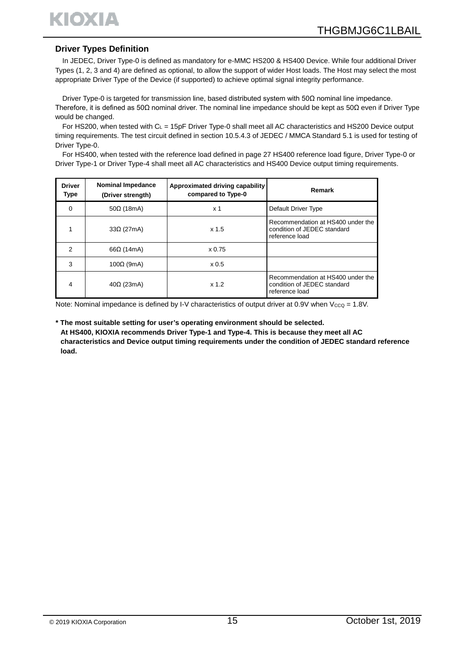

#### **Driver Types Definition**

In JEDEC, Driver Type-0 is defined as mandatory for e-MMC HS200 & HS400 Device. While four additional Driver Types (1, 2, 3 and 4) are defined as optional, to allow the support of wider Host loads. The Host may select the most appropriate Driver Type of the Device (if supported) to achieve optimal signal integrity performance.

Driver Type-0 is targeted for transmission line, based distributed system with 50Ω nominal line impedance. Therefore, it is defined as 50Ω nominal driver. The nominal line impedance should be kept as 50Ω even if Driver Type would be changed.

For HS200, when tested with CL = 15pF Driver Type-0 shall meet all AC characteristics and HS200 Device output timing requirements. The test circuit defined in section 10.5.4.3 of JEDEC / MMCA Standard 5.1 is used for testing of Driver Type-0.

For HS400, when tested with the reference load defined in page 27 HS400 reference load figure, Driver Type-0 or Driver Type-1 or Driver Type-4 shall meet all AC characteristics and HS400 Device output timing requirements.

| <b>Driver</b><br><b>Type</b> | <b>Nominal Impedance</b><br>(Driver strength) | Approximated driving capability<br>compared to Type-0 | Remark                                                                             |
|------------------------------|-----------------------------------------------|-------------------------------------------------------|------------------------------------------------------------------------------------|
| $\Omega$                     | $50\Omega$ (18mA)                             | x <sub>1</sub>                                        | Default Driver Type                                                                |
|                              | $33\Omega$ (27mA)                             | x <sub>1.5</sub>                                      | Recommendation at HS400 under the<br>condition of JEDEC standard<br>reference load |
| 2                            | $66\Omega$ (14mA)                             | $\times 0.75$                                         |                                                                                    |
| 3                            | $100\Omega$ (9mA)                             | x 0.5                                                 |                                                                                    |
| 4                            | $40\Omega$ (23mA)                             | $x$ 1.2                                               | Recommendation at HS400 under the<br>condition of JEDEC standard<br>reference load |

Note: Nominal impedance is defined by I-V characteristics of output driver at 0.9V when  $V_{CCO} = 1.8V$ .

**\* The most suitable setting for user's operating environment should be selected. At HS400, KIOXIA recommends Driver Type-1 and Type-4. This is because they meet all AC characteristics and Device output timing requirements under the condition of JEDEC standard reference load.**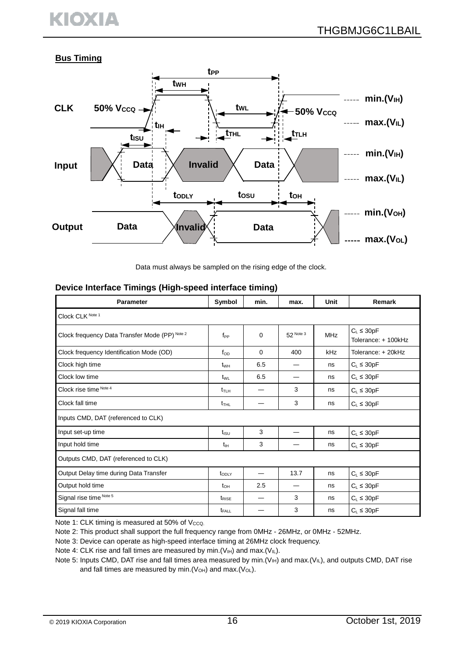# KIOXIA

# **Bus Timing**



Data must always be sampled on the rising edge of the clock.

### **Device Interface Timings (High-speed interface timing)**

| <b>Parameter</b>                               | Symbol                       | min. | max.      | Unit       | Remark                                 |  |  |
|------------------------------------------------|------------------------------|------|-----------|------------|----------------------------------------|--|--|
| Clock CLK Note 1                               |                              |      |           |            |                                        |  |  |
| Clock frequency Data Transfer Mode (PP) Note 2 | $f_{PP}$                     | 0    | 52 Note 3 | <b>MHz</b> | $C_L \leq 30pF$<br>Tolerance: + 100kHz |  |  |
| Clock frequency Identification Mode (OD)       | $f_{OD}$                     | 0    | 400       | kHz        | Tolerance: + 20kHz                     |  |  |
| Clock high time                                | $t_{WH}$                     | 6.5  |           | ns         | $C_L \leq 30pF$                        |  |  |
| Clock low time                                 | t <sub>wL</sub>              | 6.5  |           | ns         | $C_L \leq 30pF$                        |  |  |
| Clock rise time Note 4                         | $t_{\scriptstyle\text{TLH}}$ |      | 3         | ns         | $C_L \leq 30pF$                        |  |  |
| Clock fall time                                | $t_{THL}$                    |      | 3         | ns         | $C_L \leq 30pF$                        |  |  |
| Inputs CMD, DAT (referenced to CLK)            |                              |      |           |            |                                        |  |  |
| Input set-up time                              | $t_{\rm ISU}$                | 3    |           | ns         | $C_L \leq 30pF$                        |  |  |
| Input hold time                                | $t_{\rm IH}$                 | 3    |           | ns         | $C_L \leq 30pF$                        |  |  |
| Outputs CMD, DAT (referenced to CLK)           |                              |      |           |            |                                        |  |  |
| Output Delay time during Data Transfer         | toply                        |      | 13.7      | ns         | $C_L \leq 30pF$                        |  |  |
| Output hold time                               | $t_{\text{OH}}$              | 2.5  | —         | ns         | $C_L \leq 30pF$                        |  |  |
| Signal rise time Note 5                        | t <sub>RISE</sub>            |      | 3         | ns         | $C_L \leq 30pF$                        |  |  |
| Signal fall time                               | $t_{FALL}$                   |      | 3         | ns         | $C_L \leq 30pF$                        |  |  |

Note 1: CLK timing is measured at 50% of Vcco.

Note 2: This product shall support the full frequency range from 0MHz - 26MHz, or 0MHz - 52MHz.

Note 3: Device can operate as high-speed interface timing at 26MHz clock frequency.

Note 4: CLK rise and fall times are measured by min. ( $V_{H}$ ) and max. ( $V_{IL}$ ).

Note 5: Inputs CMD, DAT rise and fall times area measured by min. ( $V_{H}$ ) and max. ( $V_{L}$ ), and outputs CMD, DAT rise and fall times are measured by min.  $(V<sub>OH</sub>)$  and max.  $(V<sub>OL</sub>)$ .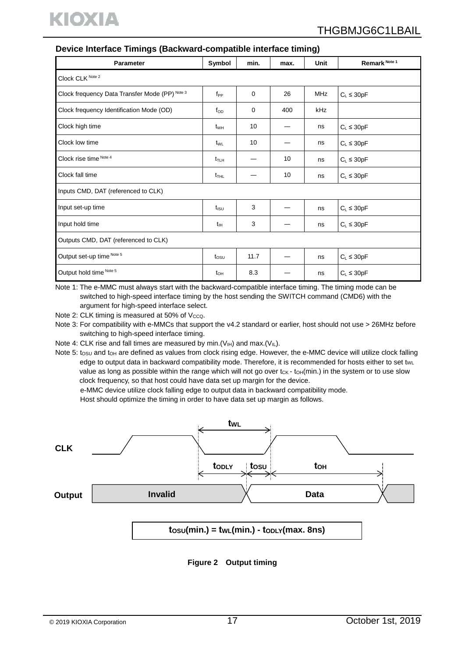

| <b>Parameter</b>                               | Symbol                  | min. | max. | Unit       | Remark Note 1   |  |  |  |  |
|------------------------------------------------|-------------------------|------|------|------------|-----------------|--|--|--|--|
| Clock CLK Note 2                               |                         |      |      |            |                 |  |  |  |  |
| Clock frequency Data Transfer Mode (PP) Note 3 | $f_{PP}$                | 0    | 26   | <b>MHz</b> | $C_L \leq 30pF$ |  |  |  |  |
| Clock frequency Identification Mode (OD)       | $f_{OD}$                | 0    | 400  | kHz        |                 |  |  |  |  |
| Clock high time                                | t <sub>WH</sub>         | 10   |      | ns         | $C_L \leq 30pF$ |  |  |  |  |
| Clock low time                                 | $t_{WL}$                | 10   |      | ns         | $C_L \leq 30pF$ |  |  |  |  |
| Clock rise time Note 4                         | $t_{\text{TLH}}$        |      | 10   | ns         | $C_L \leq 30pF$ |  |  |  |  |
| Clock fall time                                | $t_{\text{THL}}$        |      | 10   | ns         | $C_L \leq 30pF$ |  |  |  |  |
| Inputs CMD, DAT (referenced to CLK)            |                         |      |      |            |                 |  |  |  |  |
| Input set-up time                              | $t_{\text{\tiny{ISU}}}$ | 3    |      | ns         | $C_L \leq 30pF$ |  |  |  |  |
| Input hold time                                | $t_{\rm IH}$            | 3    |      | ns         | $C_L \leq 30pF$ |  |  |  |  |
| Outputs CMD, DAT (referenced to CLK)           |                         |      |      |            |                 |  |  |  |  |
| Output set-up time Note 5                      | $t_{OSU}$               | 11.7 |      | ns         | $C_L \leq 30pF$ |  |  |  |  |
| Output hold time Note 5                        | $t_{OH}$                | 8.3  |      | ns         | $C_L \leq 30pF$ |  |  |  |  |

#### **Device Interface Timings (Backward-compatible interface timing)**

Note 1: The e-MMC must always start with the backward-compatible interface timing. The timing mode can be switched to high-speed interface timing by the host sending the SWITCH command (CMD6) with the argument for high-speed interface select.

Note 2: CLK timing is measured at  $50\%$  of  $V_{CCQ}$ .

Note 3: For compatibility with e-MMCs that support the v4.2 standard or earlier, host should not use > 26MHz before switching to high-speed interface timing.

Note 4: CLK rise and fall times are measured by min. ( $V_{H}$ ) and max. ( $V_{IL}$ ).

Note 5: tosu and toh are defined as values from clock rising edge. However, the e-MMC device will utilize clock falling edge to output data in backward compatibility mode. Therefore, it is recommended for hosts either to set twl value as long as possible within the range which will not go over tck - toH(min.) in the system or to use slow clock frequency, so that host could have data set up margin for the device.

e-MMC device utilize clock falling edge to output data in backward compatibility mode.

Host should optimize the timing in order to have data set up margin as follows.



 $\text{tosu}(\text{min.}) = \text{twL}(\text{min.}) - \text{toL}(\text{max. 8ns})$ 

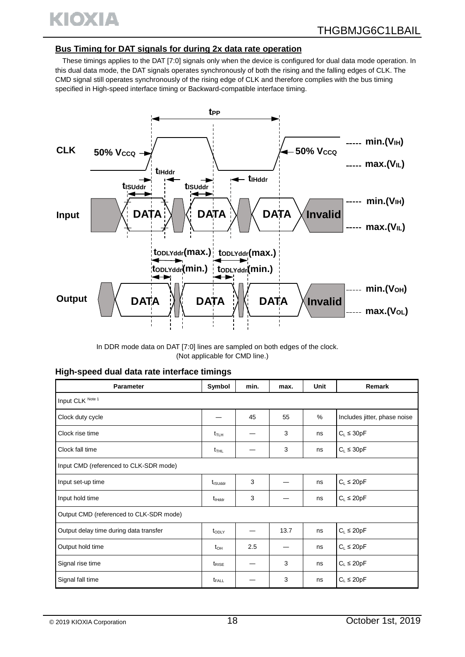

#### **Bus Timing for DAT signals for during 2x data rate operation**

These timings applies to the DAT [7:0] signals only when the device is configured for dual data mode operation. In this dual data mode, the DAT signals operates synchronously of both the rising and the falling edges of CLK. The CMD signal still operates synchronously of the rising edge of CLK and therefore complies with the bus timing specified in High-speed interface timing or Backward-compatible interface timing.



In DDR mode data on DAT [7:0] lines are sampled on both edges of the clock. (Not applicable for CMD line.)

| High-speed dual data rate interface timings |  |  |  |  |  |
|---------------------------------------------|--|--|--|--|--|
|---------------------------------------------|--|--|--|--|--|

| Parameter                               | Symbol                       | min. | max. | Unit | Remark                       |  |  |  |  |
|-----------------------------------------|------------------------------|------|------|------|------------------------------|--|--|--|--|
| Input CLK Note 1                        |                              |      |      |      |                              |  |  |  |  |
| Clock duty cycle                        |                              | 45   | 55   | $\%$ | Includes jitter, phase noise |  |  |  |  |
| Clock rise time                         | $t_{\scriptstyle\text{TLH}}$ |      | 3    | ns   | $C_L \leq 30pF$              |  |  |  |  |
| Clock fall time                         | $t_{THL}$                    |      | 3    | ns   | $C_L \leq 30pF$              |  |  |  |  |
| Input CMD (referenced to CLK-SDR mode)  |                              |      |      |      |                              |  |  |  |  |
| Input set-up time                       | t <sub>isuddr</sub>          | 3    |      | ns   | $C_L \leq 20pF$              |  |  |  |  |
| Input hold time                         | $t_{Hddr}$                   | 3    |      | ns   | $C_L \leq 20pF$              |  |  |  |  |
| Output CMD (referenced to CLK-SDR mode) |                              |      |      |      |                              |  |  |  |  |
| Output delay time during data transfer  | $t_{ODLY}$                   |      | 13.7 | ns   | $C_L \leq 20pF$              |  |  |  |  |
| Output hold time                        | $t_{\text{OH}}$              | 2.5  |      | ns   | $C_L \leq 20pF$              |  |  |  |  |
| Signal rise time                        | $t_{RISE}$                   |      | 3    | ns   | $C_L \leq 20pF$              |  |  |  |  |
| Signal fall time                        | t <sub>FALL</sub>            |      | 3    | ns   | $C_L \leq 20pF$              |  |  |  |  |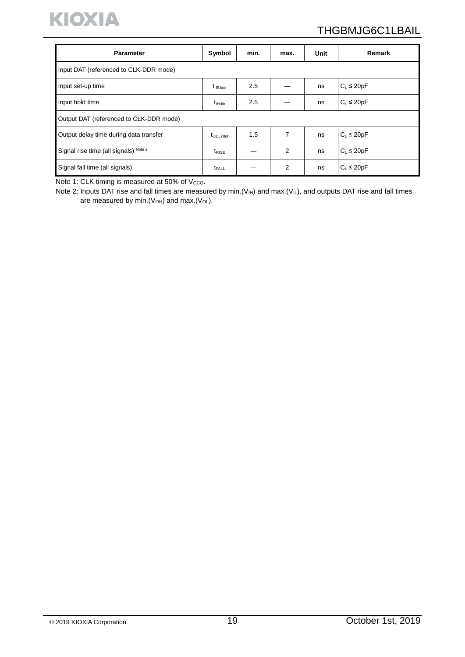

# THGBMJG6C1LBAIL

| <b>Parameter</b>                        | Symbol                   | min. | max. | Unit | Remark          |  |  |  |  |
|-----------------------------------------|--------------------------|------|------|------|-----------------|--|--|--|--|
| Input DAT (referenced to CLK-DDR mode)  |                          |      |      |      |                 |  |  |  |  |
| Input set-up time                       | $t_{\textsf{ISUddr}}$    | 2.5  |      | ns   | $C_L \leq 20pF$ |  |  |  |  |
| Input hold time                         | $t_{Hddr}$               | 2.5  |      | ns   | $C_L \leq 20pF$ |  |  |  |  |
| Output DAT (referenced to CLK-DDR mode) |                          |      |      |      |                 |  |  |  |  |
| Output delay time during data transfer  | topLYddr                 | 1.5  | 7    | ns   | $C_L \leq 20pF$ |  |  |  |  |
| Signal rise time (all signals) Note 2   | $t_{RISE}$               |      | 2    | ns   | $C_L \leq 20pF$ |  |  |  |  |
| Signal fall time (all signals)          | <b>t</b> <sub>FALL</sub> |      | 2    | ns   | $C_L \leq 20pF$ |  |  |  |  |

Note 1: CLK timing is measured at 50% of  $V_{\text{CCQ}}$ .

Note 2: Inputs DAT rise and fall times are measured by min. ( $V_{H}$ ) and max. ( $V_{IL}$ ), and outputs DAT rise and fall times are measured by min.  $(V_{OH})$  and max.  $(V_{OL})$ .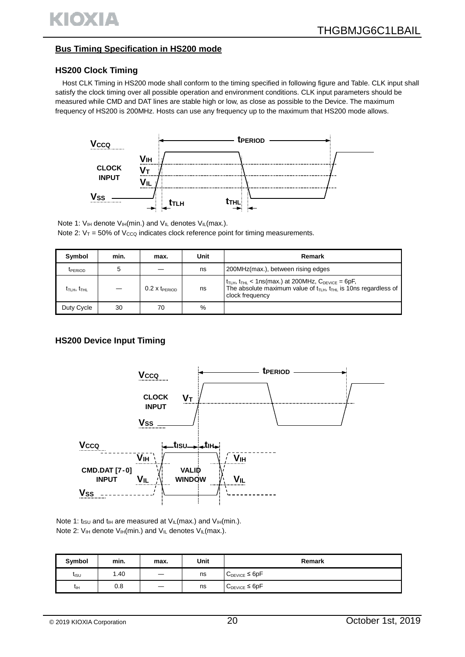## **Bus Timing Specification in HS200 mode**

#### **HS200 Clock Timing**

Host CLK Timing in HS200 mode shall conform to the timing specified in following figure and Table. CLK input shall satisfy the clock timing over all possible operation and environment conditions. CLK input parameters should be measured while CMD and DAT lines are stable high or low, as close as possible to the Device. The maximum frequency of HS200 is 200MHz. Hosts can use any frequency up to the maximum that HS200 mode allows.



Note 1:  $V_{IH}$  denote  $V_{IH}$ (min.) and  $V_{IL}$  denotes  $V_{IL}$ (max.). Note 2:  $V_T = 50\%$  of  $V_{CCQ}$  indicates clock reference point for timing measurements.

| Symbol                       | min. | max.                     | Unit | Remark                                                                                                                                                                                              |
|------------------------------|------|--------------------------|------|-----------------------------------------------------------------------------------------------------------------------------------------------------------------------------------------------------|
| <b>TPERIOD</b>               | 5    |                          | ns   | 200MHz(max.), between rising edges                                                                                                                                                                  |
| $t_{\rm TLH},\, t_{\rm THL}$ |      | $0.2$ X $t_{\sf PERIOD}$ | ns   | $t_{\text{THH}}$ , $t_{\text{THL}}$ < 1ns(max.) at 200MHz, $C_{\text{DEVICE}}$ = 6pF,<br>The absolute maximum value of $t_{\text{TLH}}$ , $t_{\text{THL}}$ is 10ns regardless of<br>clock frequency |
| Duty Cycle                   | 30   | 70                       | %    |                                                                                                                                                                                                     |

#### **HS200 Device Input Timing**



Note 1: t<sub>ISU</sub> and t<sub>IH</sub> are measured at  $V_{IL}$ (max.) and  $V_{IH}$ (min.). Note 2:  $V_{IH}$  denote  $V_{IH}(min.)$  and  $V_{IL}$  denotes  $V_{IL}(max.)$ .

| Symbol           | min. | max. | Unit | Remark               |
|------------------|------|------|------|----------------------|
| t <sub>isu</sub> | 1.40 | __   | ns   | $C_{DEVICE} \le 6pF$ |
| Чн               | 0.8  |      | ns   | $C_{DEVICE} \le 6pF$ |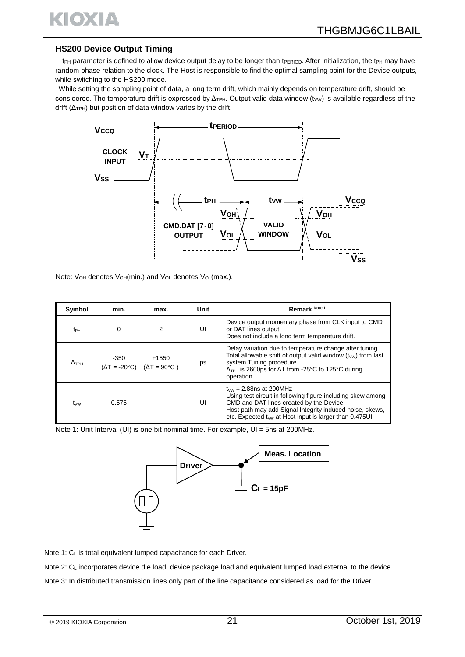

#### **HS200 Device Output Timing**

t<sub>PH</sub> parameter is defined to allow device output delay to be longer than tPERIOD. After initialization, the t<sub>PH</sub> may have random phase relation to the clock. The Host is responsible to find the optimal sampling point for the Device outputs, while switching to the HS200 mode.

While setting the sampling point of data, a long term drift, which mainly depends on temperature drift, should be considered. The temperature drift is expressed by Δ<sub>TPH</sub>. Output valid data window (tw) is available regardless of the drift  $(\Delta_{TPH})$  but position of data window varies by the drift.



Note: V<sub>OH</sub> denotes V<sub>OH</sub>(min.) and V<sub>OL</sub> denotes V<sub>OL</sub>(max.).

| Symbol          | min.                               | max.                                  | Unit | Remark Note 1                                                                                                                                                                                                                                                                    |
|-----------------|------------------------------------|---------------------------------------|------|----------------------------------------------------------------------------------------------------------------------------------------------------------------------------------------------------------------------------------------------------------------------------------|
| t <sub>РН</sub> | 0                                  | $\mathcal{P}$                         | UI   | Device output momentary phase from CLK input to CMD<br>or DAT lines output.<br>Does not include a long term temperature drift.                                                                                                                                                   |
| $\Delta$ tph    | -350<br>$(\Delta T = 20^{\circ}C)$ | $+1550$<br>$(\Delta T = 90^{\circ}C)$ | ps   | Delay variation due to temperature change after tuning.<br>Total allowable shift of output valid window $(t_{vw})$ from last<br>system Tuning procedure.<br>$\Delta$ <sub>TPH</sub> is 2600ps for $\Delta$ T from -25°C to 125°C during<br>operation.                            |
| tw              | 0.575                              |                                       | UI   | $t_{\text{NW}}$ = 2.88ns at 200MHz<br>Using test circuit in following figure including skew among<br>CMD and DAT lines created by the Device.<br>Host path may add Signal Integrity induced noise, skews,<br>etc. Expected t <sub>wy</sub> at Host input is larger than 0.475UI. |

Note 1: Unit Interval (UI) is one bit nominal time. For example, UI = 5ns at 200MHz.



Note 1: CL is total equivalent lumped capacitance for each Driver.

Note 2: C<sub>L</sub> incorporates device die load, device package load and equivalent lumped load external to the device.

Note 3: In distributed transmission lines only part of the line capacitance considered as load for the Driver.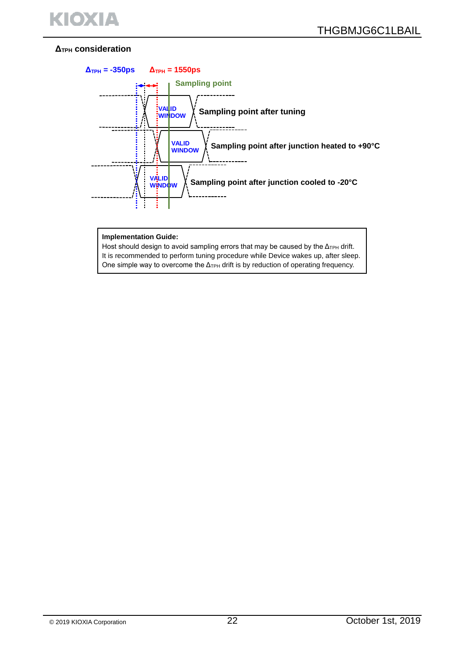## **ΔTPH consideration**



#### **Implementation Guide:**

Host should design to avoid sampling errors that may be caused by the Δ<sub>TPH</sub> drift. It is recommended to perform tuning procedure while Device wakes up, after sleep. One simple way to overcome the  $\Delta_{TPH}$  drift is by reduction of operating frequency.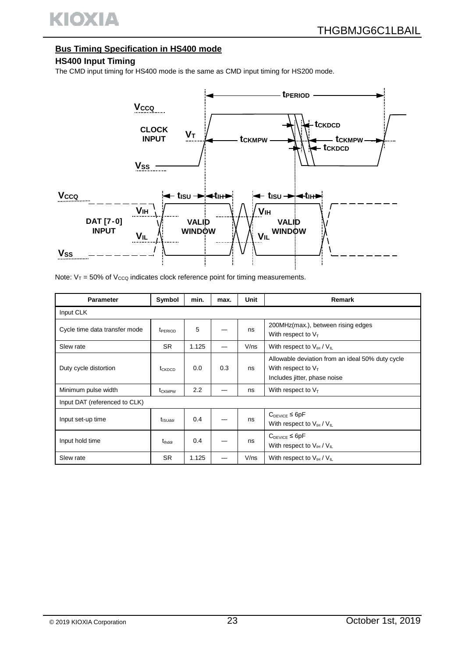

# **Bus Timing Specification in HS400 mode**

## **HS400 Input Timing**

The CMD input timing for HS400 mode is the same as CMD input timing for HS200 mode.



Note:  $V_T = 50\%$  of  $V_{CCQ}$  indicates clock reference point for timing measurements.

| <b>Parameter</b>              | Symbol              | min.  | max. | <b>Unit</b> | Remark                                                                                                    |  |  |  |  |
|-------------------------------|---------------------|-------|------|-------------|-----------------------------------------------------------------------------------------------------------|--|--|--|--|
| Input CLK                     |                     |       |      |             |                                                                                                           |  |  |  |  |
| Cycle time data transfer mode | t <sub>PERIOD</sub> | 5     |      | ns          | 200MHz(max.), between rising edges<br>With respect to $V_T$                                               |  |  |  |  |
| Slew rate                     | <b>SR</b>           | 1.125 |      | V/ns        | With respect to $V_{\text{H}}/V_{\text{H}}$                                                               |  |  |  |  |
| Duty cycle distortion         | $t_{CKDCD}$         | 0.0   | 0.3  | ns          | Allowable deviation from an ideal 50% duty cycle<br>With respect to $V_T$<br>Includes jitter, phase noise |  |  |  |  |
| Minimum pulse width           | t <sub>CKMPW</sub>  | 2.2   |      | ns          | With respect to $V_T$                                                                                     |  |  |  |  |
| Input DAT (referenced to CLK) |                     |       |      |             |                                                                                                           |  |  |  |  |
| Input set-up time             | t <sub>isuddr</sub> | 0.4   |      | ns          | $C_{DEVICE} \leq 6pF$<br>With respect to $V_{\text{IH}}/V_{\text{IL}}$                                    |  |  |  |  |
| Input hold time               | $t_{\text{lhddr}}$  | 0.4   |      | ns          | $C_{DEVICE} \leq 6pF$<br>With respect to $V_{\text{IH}}/V_{\text{IL}}$                                    |  |  |  |  |
| Slew rate                     | <b>SR</b>           | 1.125 |      | $V$ /ns     | With respect to $V_{\text{IH}}/V_{\text{IL}}$                                                             |  |  |  |  |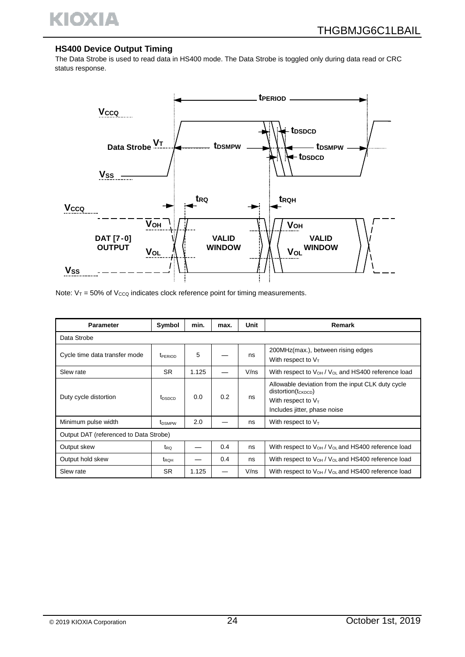

#### **HS400 Device Output Timing**

The Data Strobe is used to read data in HS400 mode. The Data Strobe is toggled only during data read or CRC status response.



Note:  $V_T = 50\%$  of  $V_{CCQ}$  indicates clock reference point for timing measurements.

| <b>Parameter</b>                       | Symbol                    | min.  | max. | Unit    | Remark                                                                                                                                |  |  |  |  |
|----------------------------------------|---------------------------|-------|------|---------|---------------------------------------------------------------------------------------------------------------------------------------|--|--|--|--|
| Data Strobe                            |                           |       |      |         |                                                                                                                                       |  |  |  |  |
| Cycle time data transfer mode          | <b>TPERIOD</b>            | 5     |      | ns      | 200MHz(max.), between rising edges<br>With respect to $V_T$                                                                           |  |  |  |  |
| Slew rate                              | <b>SR</b>                 | 1.125 |      | V/ns    | With respect to $V_{OH}$ / $V_{OL}$ and HS400 reference load                                                                          |  |  |  |  |
| Duty cycle distortion                  | t <sub>DSDCD</sub>        | 0.0   | 0.2  | ns      | Allowable deviation from the input CLK duty cycle<br>$distortion(t_{CKDCD})$<br>With respect to $V_T$<br>Includes jitter, phase noise |  |  |  |  |
| Minimum pulse width                    | <b>t</b> <sub>DSMPW</sub> | 2.0   |      | ns      | With respect to $V_T$                                                                                                                 |  |  |  |  |
| Output DAT (referenced to Data Strobe) |                           |       |      |         |                                                                                                                                       |  |  |  |  |
| Output skew                            | $t_{RO}$                  |       | 0.4  | ns      | With respect to $V_{OH}$ / $V_{OL}$ and HS400 reference load                                                                          |  |  |  |  |
| Output hold skew                       | t <sub>RQH</sub>          |       | 0.4  | ns      | With respect to $V_{OH}$ / $V_{OL}$ and HS400 reference load                                                                          |  |  |  |  |
| Slew rate                              | <b>SR</b>                 | 1.125 |      | $V$ /ns | With respect to $V_{OH}$ / $V_{OL}$ and HS400 reference load                                                                          |  |  |  |  |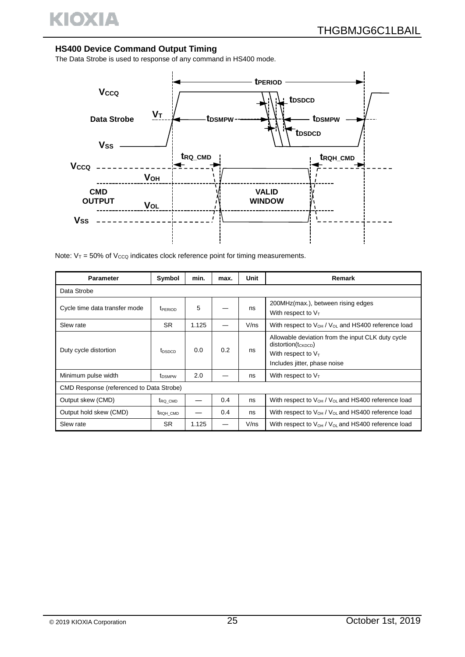

#### **HS400 Device Command Output Timing**

The Data Strobe is used to response of any command in HS400 mode.



Note:  $V_T$  = 50% of Vcco indicates clock reference point for timing measurements.

| <b>Parameter</b>              | Symbol                                   | min.  | max. | Unit | Remark                                                                                                                                |  |  |  |  |
|-------------------------------|------------------------------------------|-------|------|------|---------------------------------------------------------------------------------------------------------------------------------------|--|--|--|--|
| Data Strobe                   |                                          |       |      |      |                                                                                                                                       |  |  |  |  |
| Cycle time data transfer mode | t <sub>PERIOD</sub>                      | 5     |      | ns   | 200MHz(max.), between rising edges<br>With respect to $V_T$                                                                           |  |  |  |  |
| Slew rate                     | <b>SR</b>                                | 1.125 |      | V/ns | With respect to $V_{OH}$ / $V_{OL}$ and HS400 reference load                                                                          |  |  |  |  |
| Duty cycle distortion         | t <sub>DSDCD</sub>                       | 0.0   | 0.2  | ns   | Allowable deviation from the input CLK duty cycle<br>$distortion(t_{CKDCD})$<br>With respect to $V_T$<br>Includes jitter, phase noise |  |  |  |  |
| Minimum pulse width           | <b>t</b> <sub>DSMPW</sub>                | 2.0   |      | ns   | With respect to $V_T$                                                                                                                 |  |  |  |  |
|                               | CMD Response (referenced to Data Strobe) |       |      |      |                                                                                                                                       |  |  |  |  |
| Output skew (CMD)             | t <sub>RQ</sub> CMD                      |       | 0.4  | ns   | With respect to $V_{OH}$ / $V_{OL}$ and HS400 reference load                                                                          |  |  |  |  |
| Output hold skew (CMD)        | t <sub>RQH</sub> CMD                     |       | 0.4  | ns   | With respect to $V_{OH}$ / $V_{OL}$ and HS400 reference load                                                                          |  |  |  |  |
| Slew rate                     | <b>SR</b>                                | 1.125 |      | V/ns | With respect to $V_{OH}$ / $V_{OL}$ and HS400 reference load                                                                          |  |  |  |  |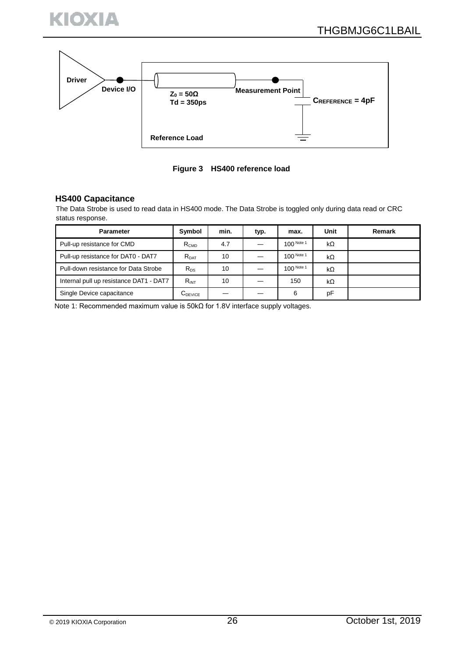



**Figure 3 HS400 reference load**

#### **HS400 Capacitance**

The Data Strobe is used to read data in HS400 mode. The Data Strobe is toggled only during data read or CRC status response.

| <b>Parameter</b>                        | Symbol           | min. | typ. | max.       | Unit      | Remark |
|-----------------------------------------|------------------|------|------|------------|-----------|--------|
| Pull-up resistance for CMD              | R <sub>CMD</sub> | 4.7  |      | 100 Note 1 | $k\Omega$ |        |
| Pull-up resistance for DAT0 - DAT7      | $R_{\text{DAT}}$ | 10   |      | 100 Note 1 | kΩ        |        |
| Pull-down resistance for Data Strobe    | $R_{DS}$         | 10   |      | 100 Note 1 | kΩ        |        |
| Internal pull up resistance DAT1 - DAT7 | $R_{INT}$        | 10   |      | 150        | $k\Omega$ |        |
| Single Device capacitance               | $C_{DEVICE}$     |      |      | 6          | pF        |        |

Note 1: Recommended maximum value is 50kΩ for 1.8V interface supply voltages.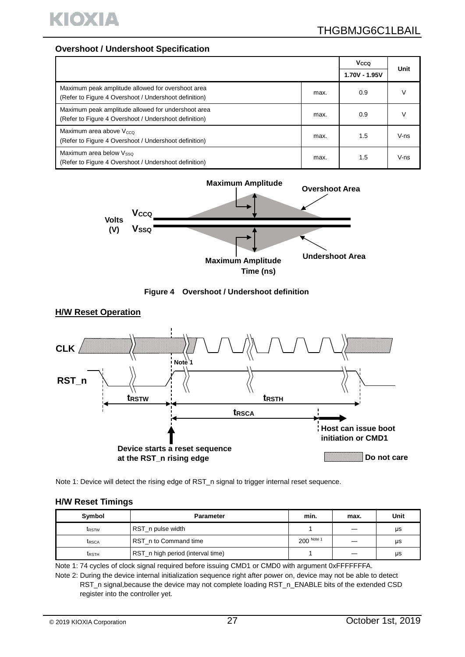

#### **Overshoot / Undershoot Specification**

|                                                                                                             |      | Vcco          | Unit   |
|-------------------------------------------------------------------------------------------------------------|------|---------------|--------|
|                                                                                                             |      | 1.70V - 1.95V |        |
| Maximum peak amplitude allowed for overshoot area<br>(Refer to Figure 4 Overshoot / Undershoot definition)  | max. | 0.9           |        |
| Maximum peak amplitude allowed for undershoot area<br>(Refer to Figure 4 Overshoot / Undershoot definition) | max. | 0.9           |        |
| Maximum area above $V_{\text{CCO}}$<br>(Refer to Figure 4 Overshoot / Undershoot definition)                | max. | 1.5           | $V-ns$ |
| Maximum area below Vsso<br>(Refer to Figure 4 Overshoot / Undershoot definition)                            | max. | 1.5           | $V-ns$ |







Note 1: Device will detect the rising edge of RST\_n signal to trigger internal reset sequence.

#### **H/W Reset Timings**

| Symbol       | <b>Parameter</b>                  | min.       | max. | Unit |
|--------------|-----------------------------------|------------|------|------|
| <b>IRSTW</b> | RST_n pulse width                 |            |      | μs   |
| <b>IRSCA</b> | RST_n to Command time             | 200 Note 1 |      | μs   |
| <b>IRSTH</b> | RST_n high period (interval time) |            |      | μs   |

Note 1: 74 cycles of clock signal required before issuing CMD1 or CMD0 with argument 0xFFFFFFFA.

Note 2: During the device internal initialization sequence right after power on, device may not be able to detect RST\_n signal,because the device may not complete loading RST\_n\_ENABLE bits of the extended CSD register into the controller yet.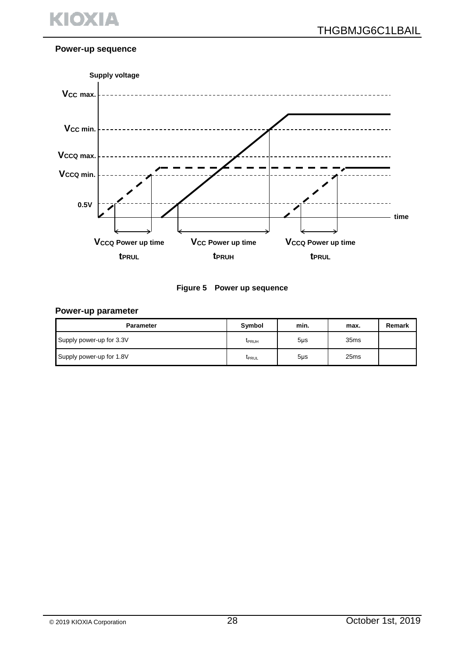

#### **Power-up sequence**





#### **Power-up parameter**

| <b>Parameter</b>         | <b>Symbol</b> | min.   | max.             | Remark |
|--------------------------|---------------|--------|------------------|--------|
| Supply power-up for 3.3V | <b>T</b> PRUH | $5µ$ s | 35 <sub>ms</sub> |        |
| Supply power-up for 1.8V | <b>IPRUL</b>  | $5µ$ s | 25 <sub>ms</sub> |        |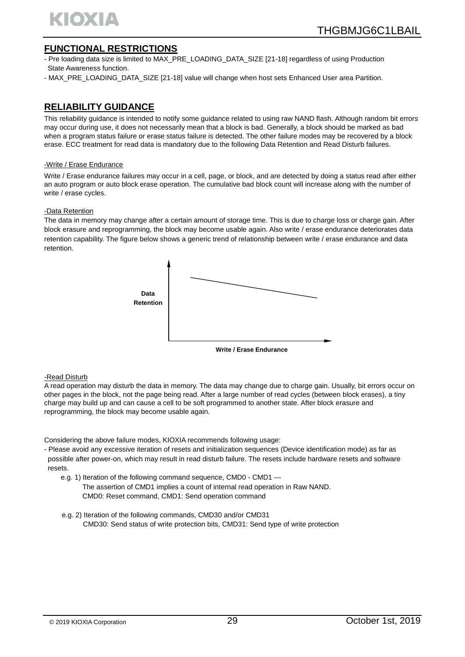

## **FUNCTIONAL RESTRICTIONS**

- Pre loading data size is limited to MAX\_PRE\_LOADING\_DATA\_SIZE [21-18] regardless of using Production State Awareness function.
- MAX\_PRE\_LOADING\_DATA\_SIZE [21-18] value will change when host sets Enhanced User area Partition.

# **RELIABILITY GUIDANCE**

This reliability guidance is intended to notify some guidance related to using raw NAND flash. Although random bit errors may occur during use, it does not necessarily mean that a block is bad. Generally, a block should be marked as bad when a program status failure or erase status failure is detected. The other failure modes may be recovered by a block erase. ECC treatment for read data is mandatory due to the following Data Retention and Read Disturb failures.

#### -Write / Erase Endurance

Write / Erase endurance failures may occur in a cell, page, or block, and are detected by doing a status read after either an auto program or auto block erase operation. The cumulative bad block count will increase along with the number of write / erase cycles.

#### -Data Retention

The data in memory may change after a certain amount of storage time. This is due to charge loss or charge gain. After block erasure and reprogramming, the block may become usable again. Also write / erase endurance deteriorates data retention capability. The figure below shows a generic trend of relationship between write / erase endurance and data retention.



#### -Read Disturb

A read operation may disturb the data in memory. The data may change due to charge gain. Usually, bit errors occur on other pages in the block, not the page being read. After a large number of read cycles (between block erases), a tiny charge may build up and can cause a cell to be soft programmed to another state. After block erasure and reprogramming, the block may become usable again.

Considering the above failure modes, KIOXIA recommends following usage:

- Please avoid any excessive iteration of resets and initialization sequences (Device identification mode) as far as possible after power-on, which may result in read disturb failure. The resets include hardware resets and software resets.
	- e.g. 1) Iteration of the following command sequence, CMD0 CMD1 ---
		- The assertion of CMD1 implies a count of internal read operation in Raw NAND. CMD0: Reset command, CMD1: Send operation command
	- e.g. 2) Iteration of the following commands, CMD30 and/or CMD31 CMD30: Send status of write protection bits, CMD31: Send type of write protection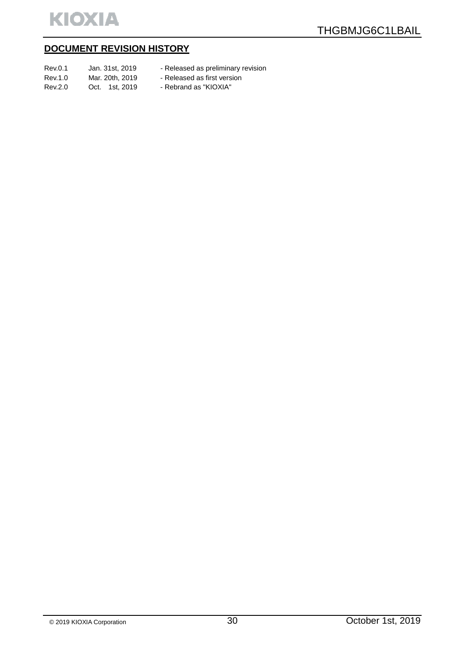

# **DOCUMENT REVISION HISTORY**

| Rev.0.1 | Jan. 31st. 2019 | - Released as preliminary revision |
|---------|-----------------|------------------------------------|
| Rev.1.0 | Mar. 20th. 2019 | - Released as first version        |
| Rev.2.0 | Oct. 1st. 2019  | - Rebrand as "KIOXIA"              |